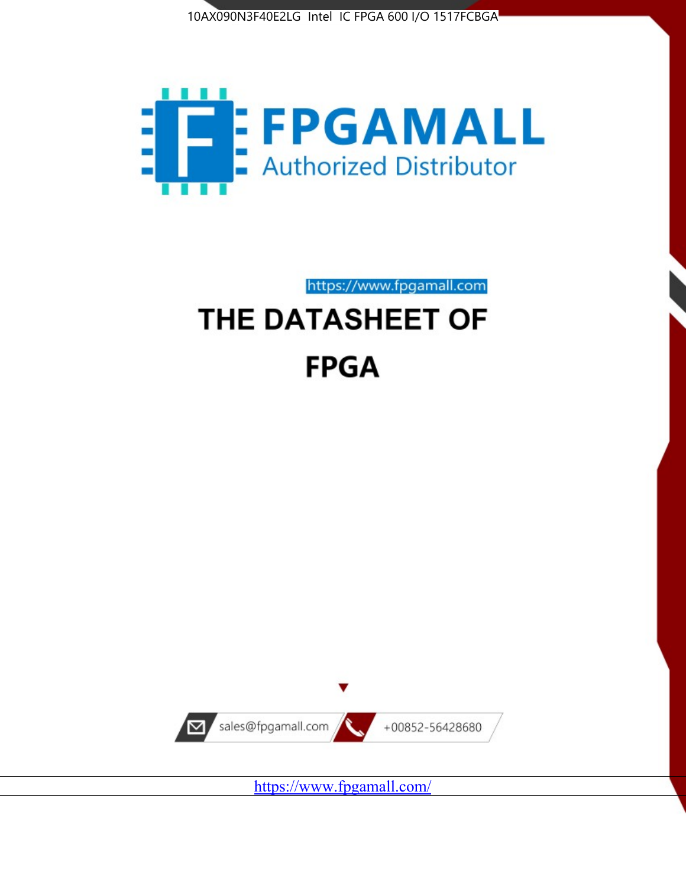



https://www.fpgamall.com

# THE DATASHEET OF **FPGA**



<https://www.fpgamall.com/>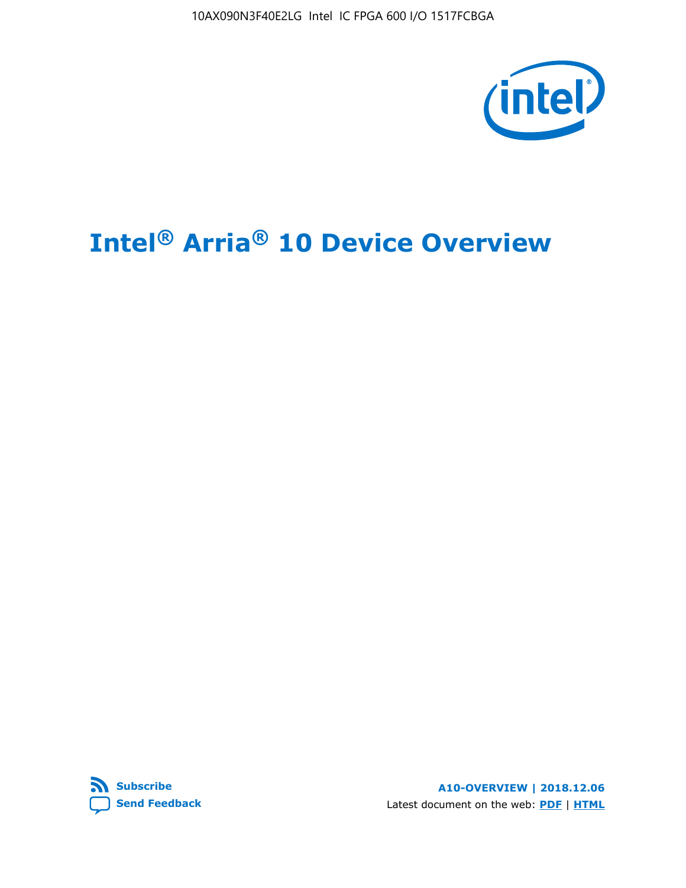10AX090N3F40E2LG Intel IC FPGA 600 I/O 1517FCBGA



# **Intel® Arria® 10 Device Overview**



**A10-OVERVIEW | 2018.12.06** Latest document on the web: **[PDF](https://www.intel.com/content/dam/www/programmable/us/en/pdfs/literature/hb/arria-10/a10_overview.pdf)** | **[HTML](https://www.intel.com/content/www/us/en/programmable/documentation/sam1403480274650.html)**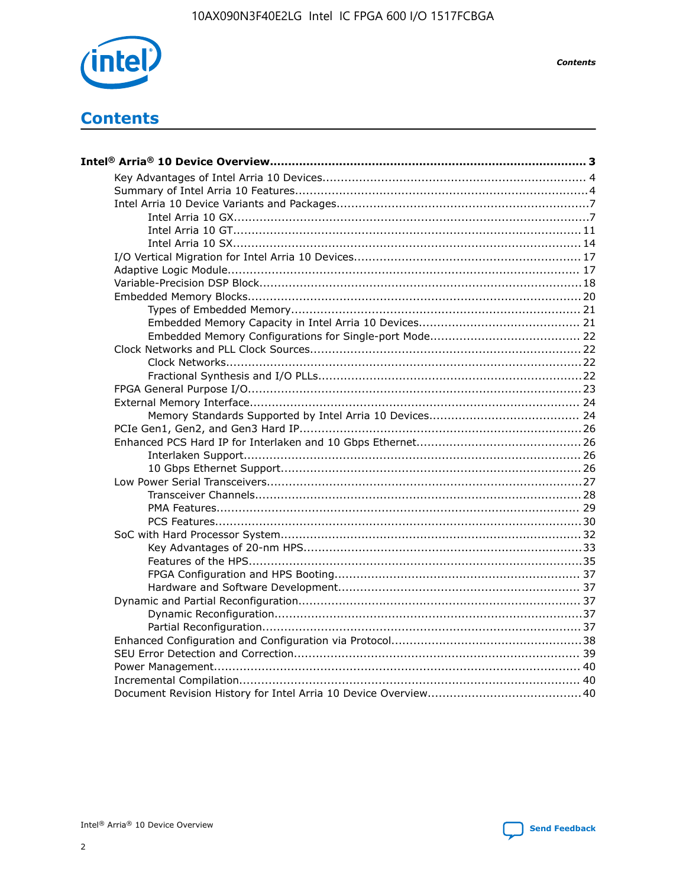

**Contents** 

# **Contents**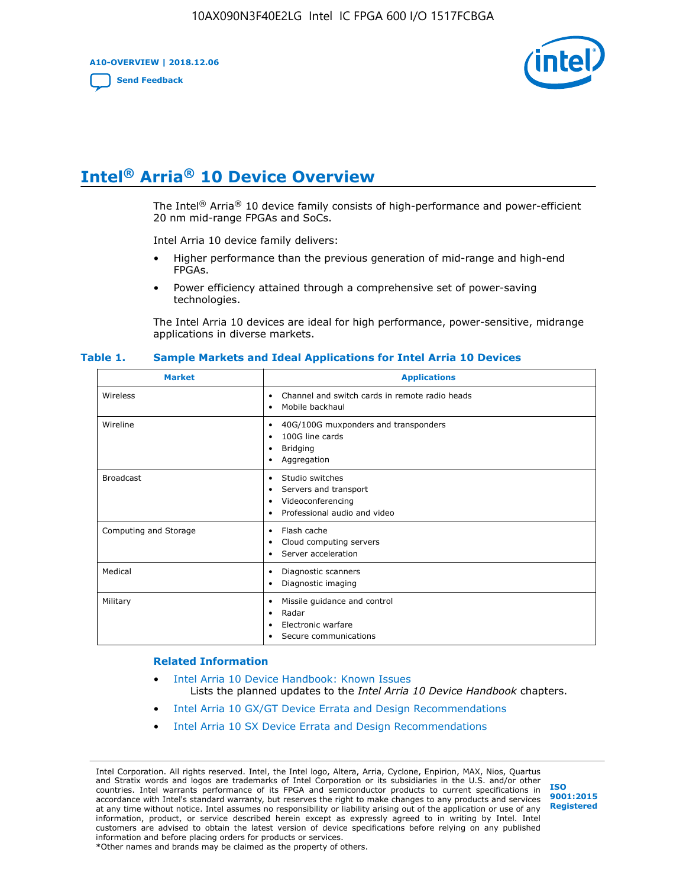**A10-OVERVIEW | 2018.12.06**

**[Send Feedback](mailto:FPGAtechdocfeedback@intel.com?subject=Feedback%20on%20Intel%20Arria%2010%20Device%20Overview%20(A10-OVERVIEW%202018.12.06)&body=We%20appreciate%20your%20feedback.%20In%20your%20comments,%20also%20specify%20the%20page%20number%20or%20paragraph.%20Thank%20you.)**



# **Intel® Arria® 10 Device Overview**

The Intel<sup>®</sup> Arria<sup>®</sup> 10 device family consists of high-performance and power-efficient 20 nm mid-range FPGAs and SoCs.

Intel Arria 10 device family delivers:

- Higher performance than the previous generation of mid-range and high-end FPGAs.
- Power efficiency attained through a comprehensive set of power-saving technologies.

The Intel Arria 10 devices are ideal for high performance, power-sensitive, midrange applications in diverse markets.

| <b>Market</b>         | <b>Applications</b>                                                                                               |
|-----------------------|-------------------------------------------------------------------------------------------------------------------|
| Wireless              | Channel and switch cards in remote radio heads<br>٠<br>Mobile backhaul<br>٠                                       |
| Wireline              | 40G/100G muxponders and transponders<br>٠<br>100G line cards<br>٠<br><b>Bridging</b><br>٠<br>Aggregation<br>٠     |
| <b>Broadcast</b>      | Studio switches<br>٠<br>Servers and transport<br>٠<br>Videoconferencing<br>٠<br>Professional audio and video<br>٠ |
| Computing and Storage | Flash cache<br>٠<br>Cloud computing servers<br>٠<br>Server acceleration<br>٠                                      |
| Medical               | Diagnostic scanners<br>٠<br>Diagnostic imaging<br>٠                                                               |
| Military              | Missile guidance and control<br>٠<br>Radar<br>٠<br>Electronic warfare<br>٠<br>Secure communications<br>٠          |

#### **Table 1. Sample Markets and Ideal Applications for Intel Arria 10 Devices**

#### **Related Information**

- [Intel Arria 10 Device Handbook: Known Issues](http://www.altera.com/support/kdb/solutions/rd07302013_646.html) Lists the planned updates to the *Intel Arria 10 Device Handbook* chapters.
- [Intel Arria 10 GX/GT Device Errata and Design Recommendations](https://www.intel.com/content/www/us/en/programmable/documentation/agz1493851706374.html#yqz1494433888646)
- [Intel Arria 10 SX Device Errata and Design Recommendations](https://www.intel.com/content/www/us/en/programmable/documentation/cru1462832385668.html#cru1462832558642)

Intel Corporation. All rights reserved. Intel, the Intel logo, Altera, Arria, Cyclone, Enpirion, MAX, Nios, Quartus and Stratix words and logos are trademarks of Intel Corporation or its subsidiaries in the U.S. and/or other countries. Intel warrants performance of its FPGA and semiconductor products to current specifications in accordance with Intel's standard warranty, but reserves the right to make changes to any products and services at any time without notice. Intel assumes no responsibility or liability arising out of the application or use of any information, product, or service described herein except as expressly agreed to in writing by Intel. Intel customers are advised to obtain the latest version of device specifications before relying on any published information and before placing orders for products or services. \*Other names and brands may be claimed as the property of others.

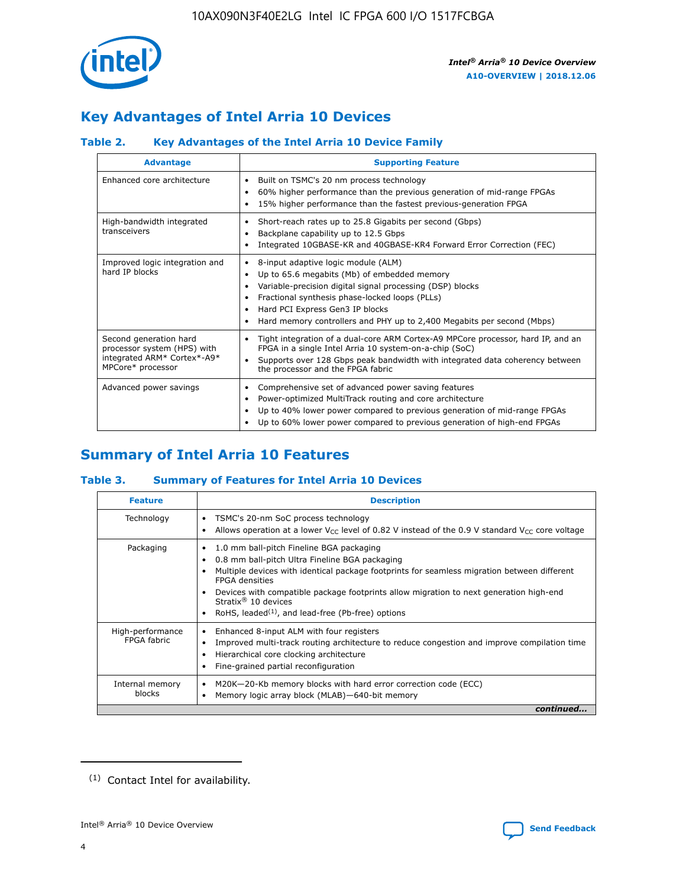

# **Key Advantages of Intel Arria 10 Devices**

# **Table 2. Key Advantages of the Intel Arria 10 Device Family**

| <b>Advantage</b>                                                                                          | <b>Supporting Feature</b>                                                                                                                                                                                                                                                                                                |
|-----------------------------------------------------------------------------------------------------------|--------------------------------------------------------------------------------------------------------------------------------------------------------------------------------------------------------------------------------------------------------------------------------------------------------------------------|
| Enhanced core architecture                                                                                | Built on TSMC's 20 nm process technology<br>٠<br>60% higher performance than the previous generation of mid-range FPGAs<br>٠<br>15% higher performance than the fastest previous-generation FPGA<br>٠                                                                                                                    |
| High-bandwidth integrated<br>transceivers                                                                 | Short-reach rates up to 25.8 Gigabits per second (Gbps)<br>٠<br>Backplane capability up to 12.5 Gbps<br>٠<br>Integrated 10GBASE-KR and 40GBASE-KR4 Forward Error Correction (FEC)<br>٠                                                                                                                                   |
| Improved logic integration and<br>hard IP blocks                                                          | 8-input adaptive logic module (ALM)<br>٠<br>Up to 65.6 megabits (Mb) of embedded memory<br>٠<br>Variable-precision digital signal processing (DSP) blocks<br>Fractional synthesis phase-locked loops (PLLs)<br>Hard PCI Express Gen3 IP blocks<br>Hard memory controllers and PHY up to 2,400 Megabits per second (Mbps) |
| Second generation hard<br>processor system (HPS) with<br>integrated ARM* Cortex*-A9*<br>MPCore* processor | Tight integration of a dual-core ARM Cortex-A9 MPCore processor, hard IP, and an<br>٠<br>FPGA in a single Intel Arria 10 system-on-a-chip (SoC)<br>Supports over 128 Gbps peak bandwidth with integrated data coherency between<br>$\bullet$<br>the processor and the FPGA fabric                                        |
| Advanced power savings                                                                                    | Comprehensive set of advanced power saving features<br>٠<br>Power-optimized MultiTrack routing and core architecture<br>٠<br>Up to 40% lower power compared to previous generation of mid-range FPGAs<br>٠<br>Up to 60% lower power compared to previous generation of high-end FPGAs                                    |

# **Summary of Intel Arria 10 Features**

## **Table 3. Summary of Features for Intel Arria 10 Devices**

| <b>Feature</b>                  | <b>Description</b>                                                                                                                                                                                                                                                                                                                                                                                           |
|---------------------------------|--------------------------------------------------------------------------------------------------------------------------------------------------------------------------------------------------------------------------------------------------------------------------------------------------------------------------------------------------------------------------------------------------------------|
| Technology                      | TSMC's 20-nm SoC process technology<br>Allows operation at a lower $V_{\text{CC}}$ level of 0.82 V instead of the 0.9 V standard $V_{\text{CC}}$ core voltage                                                                                                                                                                                                                                                |
| Packaging                       | 1.0 mm ball-pitch Fineline BGA packaging<br>٠<br>0.8 mm ball-pitch Ultra Fineline BGA packaging<br>Multiple devices with identical package footprints for seamless migration between different<br><b>FPGA</b> densities<br>Devices with compatible package footprints allow migration to next generation high-end<br>Stratix <sup>®</sup> 10 devices<br>RoHS, leaded $(1)$ , and lead-free (Pb-free) options |
| High-performance<br>FPGA fabric | Enhanced 8-input ALM with four registers<br>Improved multi-track routing architecture to reduce congestion and improve compilation time<br>Hierarchical core clocking architecture<br>Fine-grained partial reconfiguration                                                                                                                                                                                   |
| Internal memory<br>blocks       | M20K-20-Kb memory blocks with hard error correction code (ECC)<br>Memory logic array block (MLAB)-640-bit memory                                                                                                                                                                                                                                                                                             |
|                                 | continued                                                                                                                                                                                                                                                                                                                                                                                                    |



<sup>(1)</sup> Contact Intel for availability.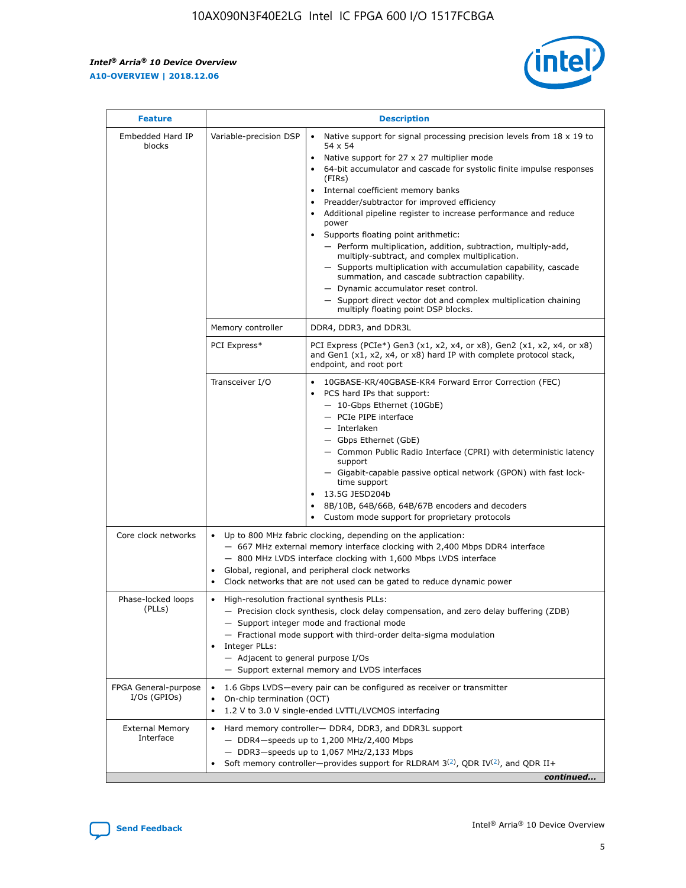$\mathsf{r}$ 



| <b>Feature</b>                         |                                                                                                                | <b>Description</b>                                                                                                                                                                                                                                                                                                                                                                                                                                                                                                                                                                                                                                                                                                                                                                                                                          |
|----------------------------------------|----------------------------------------------------------------------------------------------------------------|---------------------------------------------------------------------------------------------------------------------------------------------------------------------------------------------------------------------------------------------------------------------------------------------------------------------------------------------------------------------------------------------------------------------------------------------------------------------------------------------------------------------------------------------------------------------------------------------------------------------------------------------------------------------------------------------------------------------------------------------------------------------------------------------------------------------------------------------|
| Embedded Hard IP<br>blocks             | Variable-precision DSP                                                                                         | Native support for signal processing precision levels from $18 \times 19$ to<br>$\bullet$<br>54 x 54<br>Native support for 27 x 27 multiplier mode<br>64-bit accumulator and cascade for systolic finite impulse responses<br>(FIRs)<br>Internal coefficient memory banks<br>٠<br>Preadder/subtractor for improved efficiency<br>Additional pipeline register to increase performance and reduce<br>power<br>Supports floating point arithmetic:<br>- Perform multiplication, addition, subtraction, multiply-add,<br>multiply-subtract, and complex multiplication.<br>- Supports multiplication with accumulation capability, cascade<br>summation, and cascade subtraction capability.<br>- Dynamic accumulator reset control.<br>- Support direct vector dot and complex multiplication chaining<br>multiply floating point DSP blocks. |
|                                        | Memory controller                                                                                              | DDR4, DDR3, and DDR3L                                                                                                                                                                                                                                                                                                                                                                                                                                                                                                                                                                                                                                                                                                                                                                                                                       |
|                                        | PCI Express*                                                                                                   | PCI Express (PCIe*) Gen3 (x1, x2, x4, or x8), Gen2 (x1, x2, x4, or x8)<br>and Gen1 (x1, x2, x4, or x8) hard IP with complete protocol stack,<br>endpoint, and root port                                                                                                                                                                                                                                                                                                                                                                                                                                                                                                                                                                                                                                                                     |
|                                        | Transceiver I/O                                                                                                | 10GBASE-KR/40GBASE-KR4 Forward Error Correction (FEC)<br>PCS hard IPs that support:<br>- 10-Gbps Ethernet (10GbE)<br>- PCIe PIPE interface<br>- Interlaken<br>- Gbps Ethernet (GbE)<br>- Common Public Radio Interface (CPRI) with deterministic latency<br>support<br>- Gigabit-capable passive optical network (GPON) with fast lock-<br>time support<br>13.5G JESD204b<br>$\bullet$<br>8B/10B, 64B/66B, 64B/67B encoders and decoders<br>Custom mode support for proprietary protocols                                                                                                                                                                                                                                                                                                                                                   |
| Core clock networks                    | $\bullet$<br>$\bullet$                                                                                         | Up to 800 MHz fabric clocking, depending on the application:<br>- 667 MHz external memory interface clocking with 2,400 Mbps DDR4 interface<br>- 800 MHz LVDS interface clocking with 1,600 Mbps LVDS interface<br>Global, regional, and peripheral clock networks<br>Clock networks that are not used can be gated to reduce dynamic power                                                                                                                                                                                                                                                                                                                                                                                                                                                                                                 |
| Phase-locked loops<br>(PLLs)           | High-resolution fractional synthesis PLLs:<br>$\bullet$<br>Integer PLLs:<br>- Adjacent to general purpose I/Os | - Precision clock synthesis, clock delay compensation, and zero delay buffering (ZDB)<br>- Support integer mode and fractional mode<br>- Fractional mode support with third-order delta-sigma modulation<br>- Support external memory and LVDS interfaces                                                                                                                                                                                                                                                                                                                                                                                                                                                                                                                                                                                   |
| FPGA General-purpose<br>$I/Os$ (GPIOs) | On-chip termination (OCT)<br>$\bullet$                                                                         | 1.6 Gbps LVDS-every pair can be configured as receiver or transmitter<br>1.2 V to 3.0 V single-ended LVTTL/LVCMOS interfacing                                                                                                                                                                                                                                                                                                                                                                                                                                                                                                                                                                                                                                                                                                               |
| <b>External Memory</b><br>Interface    |                                                                                                                | Hard memory controller- DDR4, DDR3, and DDR3L support<br>$-$ DDR4 $-$ speeds up to 1,200 MHz/2,400 Mbps<br>- DDR3-speeds up to 1,067 MHz/2,133 Mbps<br>Soft memory controller—provides support for RLDRAM $3^{(2)}$ , QDR IV $(2^2)$ , and QDR II+<br>continued                                                                                                                                                                                                                                                                                                                                                                                                                                                                                                                                                                             |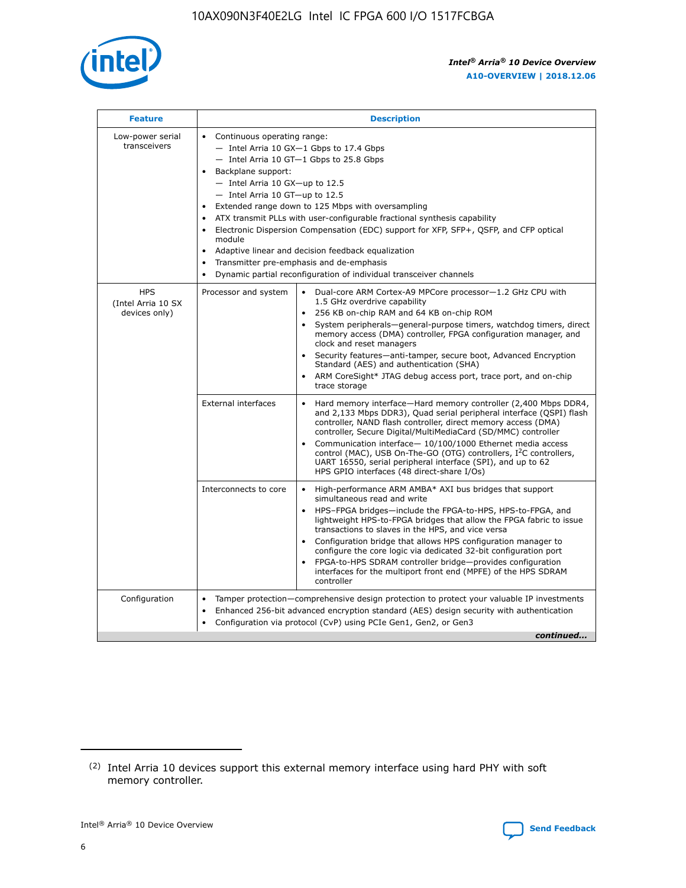

| <b>Feature</b>                                    | <b>Description</b>                                                                                                                                                                                                                                                                                                                                                                                                                                                                                                                                                                                                                         |  |  |  |  |  |  |  |
|---------------------------------------------------|--------------------------------------------------------------------------------------------------------------------------------------------------------------------------------------------------------------------------------------------------------------------------------------------------------------------------------------------------------------------------------------------------------------------------------------------------------------------------------------------------------------------------------------------------------------------------------------------------------------------------------------------|--|--|--|--|--|--|--|
| Low-power serial<br>transceivers                  | • Continuous operating range:<br>- Intel Arria 10 GX-1 Gbps to 17.4 Gbps<br>- Intel Arria 10 GT-1 Gbps to 25.8 Gbps<br>Backplane support:<br>$-$ Intel Arria 10 GX-up to 12.5<br>- Intel Arria 10 GT-up to 12.5<br>Extended range down to 125 Mbps with oversampling<br>ATX transmit PLLs with user-configurable fractional synthesis capability<br>Electronic Dispersion Compensation (EDC) support for XFP, SFP+, QSFP, and CFP optical<br>module<br>• Adaptive linear and decision feedback equalization<br>Transmitter pre-emphasis and de-emphasis<br>$\bullet$<br>Dynamic partial reconfiguration of individual transceiver channels |  |  |  |  |  |  |  |
| <b>HPS</b><br>(Intel Arria 10 SX<br>devices only) | Dual-core ARM Cortex-A9 MPCore processor-1.2 GHz CPU with<br>Processor and system<br>$\bullet$<br>1.5 GHz overdrive capability<br>256 KB on-chip RAM and 64 KB on-chip ROM<br>System peripherals-general-purpose timers, watchdog timers, direct<br>memory access (DMA) controller, FPGA configuration manager, and<br>clock and reset managers<br>Security features-anti-tamper, secure boot, Advanced Encryption<br>$\bullet$<br>Standard (AES) and authentication (SHA)<br>ARM CoreSight* JTAG debug access port, trace port, and on-chip<br>trace storage                                                                              |  |  |  |  |  |  |  |
|                                                   | <b>External interfaces</b><br>Hard memory interface-Hard memory controller (2,400 Mbps DDR4,<br>$\bullet$<br>and 2,133 Mbps DDR3), Quad serial peripheral interface (QSPI) flash<br>controller, NAND flash controller, direct memory access (DMA)<br>controller, Secure Digital/MultiMediaCard (SD/MMC) controller<br>Communication interface-10/100/1000 Ethernet media access<br>$\bullet$<br>control (MAC), USB On-The-GO (OTG) controllers, I <sup>2</sup> C controllers,<br>UART 16550, serial peripheral interface (SPI), and up to 62<br>HPS GPIO interfaces (48 direct-share I/Os)                                                 |  |  |  |  |  |  |  |
|                                                   | High-performance ARM AMBA* AXI bus bridges that support<br>Interconnects to core<br>$\bullet$<br>simultaneous read and write<br>HPS-FPGA bridges-include the FPGA-to-HPS, HPS-to-FPGA, and<br>$\bullet$<br>lightweight HPS-to-FPGA bridges that allow the FPGA fabric to issue<br>transactions to slaves in the HPS, and vice versa<br>Configuration bridge that allows HPS configuration manager to<br>configure the core logic via dedicated 32-bit configuration port<br>FPGA-to-HPS SDRAM controller bridge-provides configuration<br>interfaces for the multiport front end (MPFE) of the HPS SDRAM<br>controller                     |  |  |  |  |  |  |  |
| Configuration                                     | Tamper protection—comprehensive design protection to protect your valuable IP investments<br>Enhanced 256-bit advanced encryption standard (AES) design security with authentication<br>٠<br>Configuration via protocol (CvP) using PCIe Gen1, Gen2, or Gen3<br>continued                                                                                                                                                                                                                                                                                                                                                                  |  |  |  |  |  |  |  |

<sup>(2)</sup> Intel Arria 10 devices support this external memory interface using hard PHY with soft memory controller.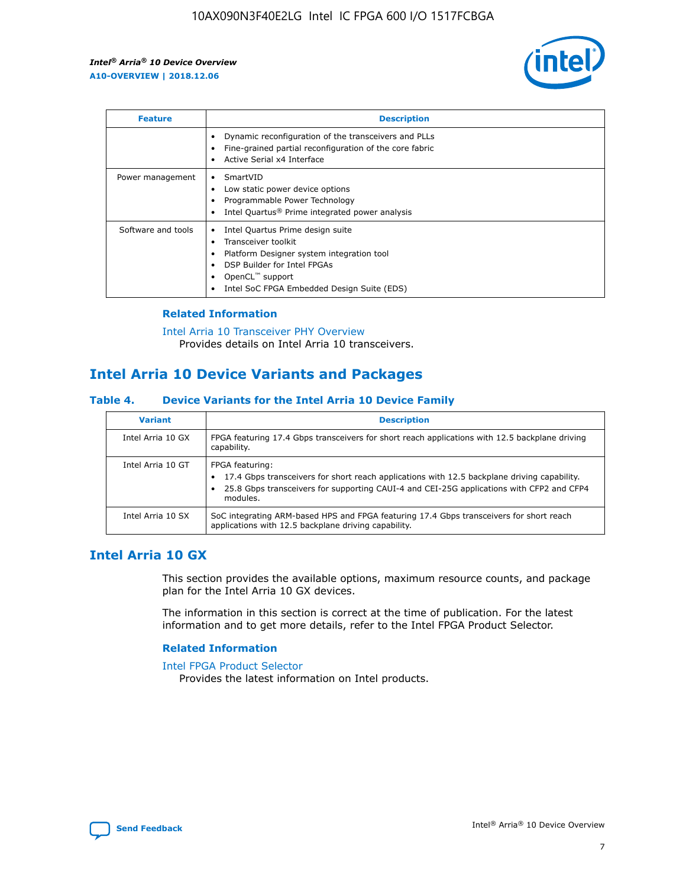

| <b>Feature</b>     | <b>Description</b>                                                                                                                                                                                               |
|--------------------|------------------------------------------------------------------------------------------------------------------------------------------------------------------------------------------------------------------|
|                    | Dynamic reconfiguration of the transceivers and PLLs<br>Fine-grained partial reconfiguration of the core fabric<br>Active Serial x4 Interface<br>$\bullet$                                                       |
| Power management   | SmartVID<br>Low static power device options<br>Programmable Power Technology<br>Intel Quartus <sup>®</sup> Prime integrated power analysis                                                                       |
| Software and tools | Intel Quartus Prime design suite<br>Transceiver toolkit<br>Platform Designer system integration tool<br>DSP Builder for Intel FPGAs<br>OpenCL <sup>™</sup> support<br>Intel SoC FPGA Embedded Design Suite (EDS) |

## **Related Information**

[Intel Arria 10 Transceiver PHY Overview](https://www.intel.com/content/www/us/en/programmable/documentation/nik1398707230472.html#nik1398706768037) Provides details on Intel Arria 10 transceivers.

# **Intel Arria 10 Device Variants and Packages**

#### **Table 4. Device Variants for the Intel Arria 10 Device Family**

| <b>Variant</b>    | <b>Description</b>                                                                                                                                                                                                     |
|-------------------|------------------------------------------------------------------------------------------------------------------------------------------------------------------------------------------------------------------------|
| Intel Arria 10 GX | FPGA featuring 17.4 Gbps transceivers for short reach applications with 12.5 backplane driving<br>capability.                                                                                                          |
| Intel Arria 10 GT | FPGA featuring:<br>17.4 Gbps transceivers for short reach applications with 12.5 backplane driving capability.<br>25.8 Gbps transceivers for supporting CAUI-4 and CEI-25G applications with CFP2 and CFP4<br>modules. |
| Intel Arria 10 SX | SoC integrating ARM-based HPS and FPGA featuring 17.4 Gbps transceivers for short reach<br>applications with 12.5 backplane driving capability.                                                                        |

# **Intel Arria 10 GX**

This section provides the available options, maximum resource counts, and package plan for the Intel Arria 10 GX devices.

The information in this section is correct at the time of publication. For the latest information and to get more details, refer to the Intel FPGA Product Selector.

#### **Related Information**

#### [Intel FPGA Product Selector](http://www.altera.com/products/selector/psg-selector.html) Provides the latest information on Intel products.

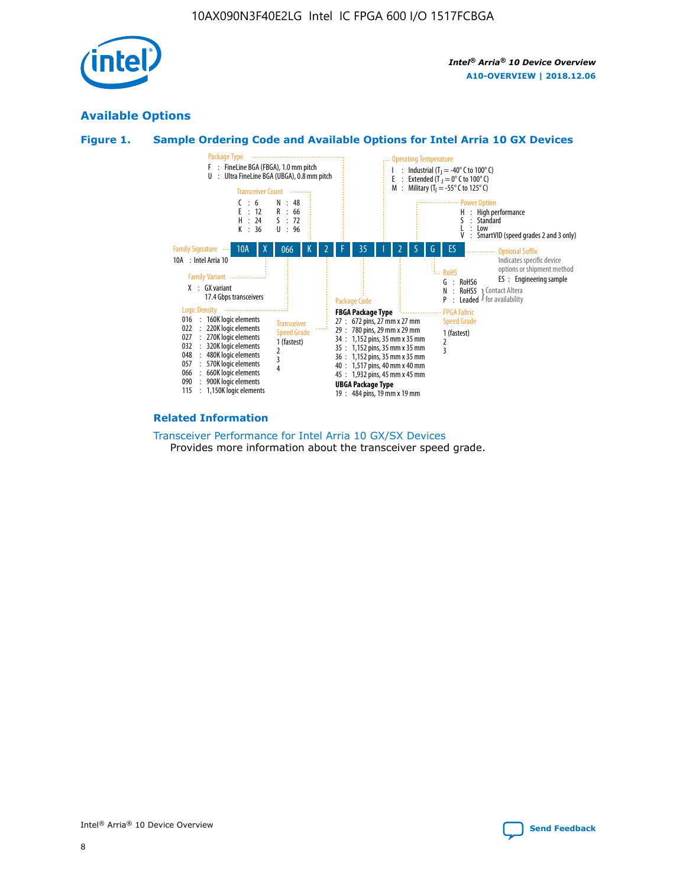

# **Available Options**





#### **Related Information**

[Transceiver Performance for Intel Arria 10 GX/SX Devices](https://www.intel.com/content/www/us/en/programmable/documentation/mcn1413182292568.html#mcn1413213965502) Provides more information about the transceiver speed grade.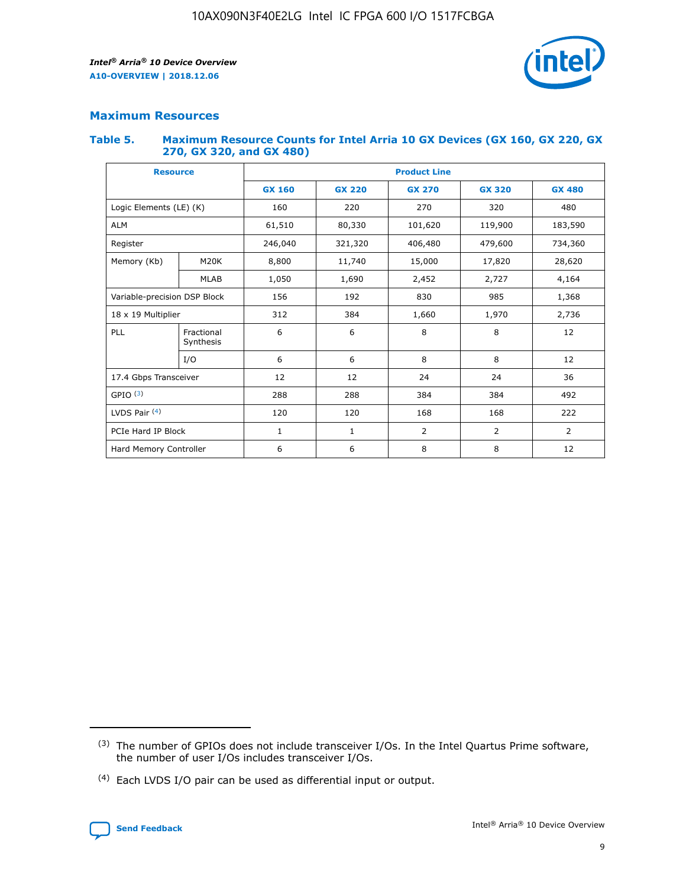

## **Maximum Resources**

#### **Table 5. Maximum Resource Counts for Intel Arria 10 GX Devices (GX 160, GX 220, GX 270, GX 320, and GX 480)**

| <b>Resource</b>              |                         | <b>Product Line</b> |                                |                    |                |                |  |  |  |
|------------------------------|-------------------------|---------------------|--------------------------------|--------------------|----------------|----------------|--|--|--|
|                              |                         | <b>GX 160</b>       | <b>GX 220</b><br><b>GX 270</b> |                    | <b>GX 320</b>  | <b>GX 480</b>  |  |  |  |
| Logic Elements (LE) (K)      |                         | 160                 | 320<br>220<br>270              |                    |                | 480            |  |  |  |
| <b>ALM</b>                   |                         | 61,510              | 80,330                         | 101,620            | 119,900        | 183,590        |  |  |  |
| Register                     |                         | 246,040             | 321,320                        | 479,600<br>406,480 |                | 734,360        |  |  |  |
| Memory (Kb)                  | M <sub>20</sub> K       | 8,800               | 11,740                         | 15,000             | 17,820         | 28,620         |  |  |  |
|                              | <b>MLAB</b>             | 1,050               | 1,690                          | 2,452<br>2,727     |                | 4,164          |  |  |  |
| Variable-precision DSP Block |                         | 156                 | 192                            | 830                | 985            | 1,368          |  |  |  |
| 18 x 19 Multiplier           |                         | 312                 | 384                            | 1,970<br>1,660     |                | 2,736          |  |  |  |
| PLL                          | Fractional<br>Synthesis | 6                   | 6                              | 8                  | 8              | 12             |  |  |  |
|                              | I/O                     | 6                   | 6                              | 8                  | 8              | 12             |  |  |  |
| 17.4 Gbps Transceiver        |                         | 12                  | 12                             | 24                 | 24             |                |  |  |  |
| GPIO <sup>(3)</sup>          |                         | 288                 | 288                            | 384                | 384            |                |  |  |  |
| LVDS Pair $(4)$              |                         | 120                 | 120                            | 168                | 168            | 222            |  |  |  |
| PCIe Hard IP Block           |                         | $\mathbf{1}$        | 1                              | $\overline{2}$     | $\overline{2}$ | $\overline{2}$ |  |  |  |
| Hard Memory Controller       |                         | 6                   | 6                              | 8                  | 8              | 12             |  |  |  |

<sup>(4)</sup> Each LVDS I/O pair can be used as differential input or output.



<sup>(3)</sup> The number of GPIOs does not include transceiver I/Os. In the Intel Quartus Prime software, the number of user I/Os includes transceiver I/Os.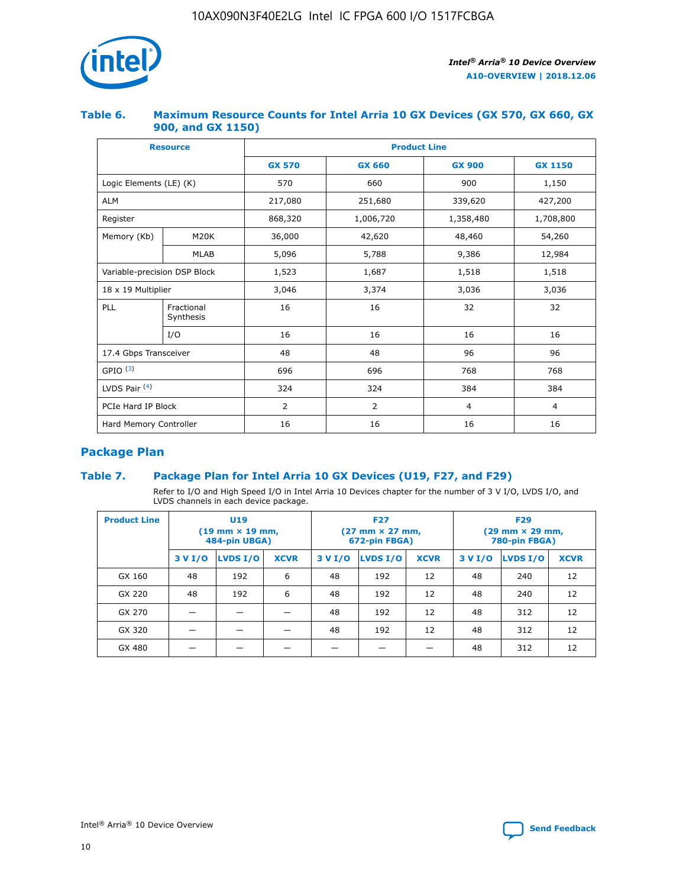

## **Table 6. Maximum Resource Counts for Intel Arria 10 GX Devices (GX 570, GX 660, GX 900, and GX 1150)**

|                              | <b>Resource</b>         | <b>Product Line</b> |                |                |                |  |  |  |
|------------------------------|-------------------------|---------------------|----------------|----------------|----------------|--|--|--|
|                              |                         | <b>GX 570</b>       | <b>GX 660</b>  | <b>GX 900</b>  | <b>GX 1150</b> |  |  |  |
| Logic Elements (LE) (K)      |                         | 570                 | 660            | 900            | 1,150          |  |  |  |
| <b>ALM</b>                   |                         | 217,080             | 251,680        | 339,620        | 427,200        |  |  |  |
| Register                     |                         | 868,320             | 1,006,720      | 1,358,480      | 1,708,800      |  |  |  |
| Memory (Kb)                  | <b>M20K</b>             | 36,000              | 42,620         | 48,460         | 54,260         |  |  |  |
|                              | <b>MLAB</b>             | 5,096               | 5,788<br>9,386 |                | 12,984         |  |  |  |
| Variable-precision DSP Block |                         | 1,523               | 1,687          | 1,518          | 1,518          |  |  |  |
| $18 \times 19$ Multiplier    |                         | 3,046               | 3,374          | 3,036          | 3,036          |  |  |  |
| PLL                          | Fractional<br>Synthesis | 16                  | 16             | 32             | 32             |  |  |  |
|                              | I/O                     | 16                  | 16             | 16             | 16             |  |  |  |
| 17.4 Gbps Transceiver        |                         | 48                  | 48             | 96             | 96             |  |  |  |
| GPIO <sup>(3)</sup>          |                         | 696                 | 696            | 768            | 768            |  |  |  |
| LVDS Pair $(4)$              |                         | 324                 | 324<br>384     |                | 384            |  |  |  |
| PCIe Hard IP Block           |                         | 2                   | 2              | $\overline{4}$ | $\overline{4}$ |  |  |  |
| Hard Memory Controller       |                         | 16                  | 16             | 16             | 16             |  |  |  |

# **Package Plan**

# **Table 7. Package Plan for Intel Arria 10 GX Devices (U19, F27, and F29)**

Refer to I/O and High Speed I/O in Intel Arria 10 Devices chapter for the number of 3 V I/O, LVDS I/O, and LVDS channels in each device package.

| <b>Product Line</b> | U <sub>19</sub><br>$(19 \text{ mm} \times 19 \text{ mm})$<br>484-pin UBGA) |          |             |         | <b>F27</b><br>(27 mm × 27 mm,<br>672-pin FBGA) |             | <b>F29</b><br>(29 mm × 29 mm,<br>780-pin FBGA) |          |             |  |
|---------------------|----------------------------------------------------------------------------|----------|-------------|---------|------------------------------------------------|-------------|------------------------------------------------|----------|-------------|--|
|                     | 3 V I/O                                                                    | LVDS I/O | <b>XCVR</b> | 3 V I/O | <b>LVDS I/O</b>                                | <b>XCVR</b> | 3 V I/O                                        | LVDS I/O | <b>XCVR</b> |  |
| GX 160              | 48                                                                         | 192      | 6           | 48      | 192                                            | 12          | 48                                             | 240      | 12          |  |
| GX 220              | 48                                                                         | 192      | 6           | 48      | 192                                            | 12          | 48                                             | 240      | 12          |  |
| GX 270              |                                                                            |          |             | 48      | 192                                            | 12          | 48                                             | 312      | 12          |  |
| GX 320              |                                                                            |          |             | 48      | 192                                            | 12          | 48                                             | 312      | 12          |  |
| GX 480              |                                                                            |          |             |         |                                                |             | 48                                             | 312      | 12          |  |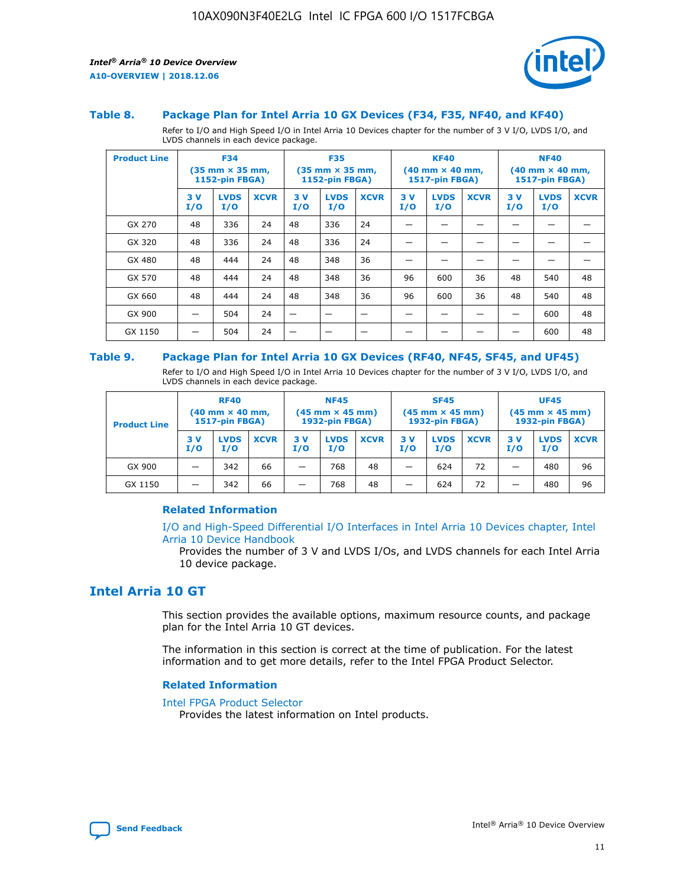

#### **Table 8. Package Plan for Intel Arria 10 GX Devices (F34, F35, NF40, and KF40)**

Refer to I/O and High Speed I/O in Intel Arria 10 Devices chapter for the number of 3 V I/O, LVDS I/O, and LVDS channels in each device package.

| <b>Product Line</b> | <b>F34</b><br>$(35 \text{ mm} \times 35 \text{ mm})$<br>1152-pin FBGA) |                    | <b>F35</b><br>$(35 \text{ mm} \times 35 \text{ mm})$<br><b>1152-pin FBGA)</b> |           | <b>KF40</b><br>$(40$ mm $\times$ 40 mm,<br>1517-pin FBGA) |             |           | <b>NF40</b><br>$(40$ mm $\times$ 40 mm,<br><b>1517-pin FBGA)</b> |             |            |                    |             |
|---------------------|------------------------------------------------------------------------|--------------------|-------------------------------------------------------------------------------|-----------|-----------------------------------------------------------|-------------|-----------|------------------------------------------------------------------|-------------|------------|--------------------|-------------|
|                     | 3V<br>I/O                                                              | <b>LVDS</b><br>I/O | <b>XCVR</b>                                                                   | 3V<br>I/O | <b>LVDS</b><br>I/O                                        | <b>XCVR</b> | 3V<br>I/O | <b>LVDS</b><br>I/O                                               | <b>XCVR</b> | 3 V<br>I/O | <b>LVDS</b><br>I/O | <b>XCVR</b> |
| GX 270              | 48                                                                     | 336                | 24                                                                            | 48        | 336                                                       | 24          |           |                                                                  |             |            |                    |             |
| GX 320              | 48                                                                     | 336                | 24                                                                            | 48        | 336                                                       | 24          |           |                                                                  |             |            |                    |             |
| GX 480              | 48                                                                     | 444                | 24                                                                            | 48        | 348                                                       | 36          |           |                                                                  |             |            |                    |             |
| GX 570              | 48                                                                     | 444                | 24                                                                            | 48        | 348                                                       | 36          | 96        | 600                                                              | 36          | 48         | 540                | 48          |
| GX 660              | 48                                                                     | 444                | 24                                                                            | 48        | 348                                                       | 36          | 96        | 600                                                              | 36          | 48         | 540                | 48          |
| GX 900              |                                                                        | 504                | 24                                                                            | -         |                                                           |             |           |                                                                  |             |            | 600                | 48          |
| GX 1150             |                                                                        | 504                | 24                                                                            |           |                                                           |             |           |                                                                  |             |            | 600                | 48          |

#### **Table 9. Package Plan for Intel Arria 10 GX Devices (RF40, NF45, SF45, and UF45)**

Refer to I/O and High Speed I/O in Intel Arria 10 Devices chapter for the number of 3 V I/O, LVDS I/O, and LVDS channels in each device package.

| <b>Product Line</b> | <b>RF40</b><br>$(40$ mm $\times$ 40 mm,<br>1517-pin FBGA) |                    | <b>NF45</b><br>$(45 \text{ mm} \times 45 \text{ mm})$<br><b>1932-pin FBGA)</b> |            |                    | <b>SF45</b><br>$(45 \text{ mm} \times 45 \text{ mm})$<br><b>1932-pin FBGA)</b> |            |                    | <b>UF45</b><br>$(45 \text{ mm} \times 45 \text{ mm})$<br><b>1932-pin FBGA)</b> |           |                    |             |
|---------------------|-----------------------------------------------------------|--------------------|--------------------------------------------------------------------------------|------------|--------------------|--------------------------------------------------------------------------------|------------|--------------------|--------------------------------------------------------------------------------|-----------|--------------------|-------------|
|                     | 3V<br>I/O                                                 | <b>LVDS</b><br>I/O | <b>XCVR</b>                                                                    | 3 V<br>I/O | <b>LVDS</b><br>I/O | <b>XCVR</b>                                                                    | 3 V<br>I/O | <b>LVDS</b><br>I/O | <b>XCVR</b>                                                                    | 3V<br>I/O | <b>LVDS</b><br>I/O | <b>XCVR</b> |
| GX 900              |                                                           | 342                | 66                                                                             | _          | 768                | 48                                                                             |            | 624                | 72                                                                             |           | 480                | 96          |
| GX 1150             |                                                           | 342                | 66                                                                             | _          | 768                | 48                                                                             |            | 624                | 72                                                                             |           | 480                | 96          |

#### **Related Information**

[I/O and High-Speed Differential I/O Interfaces in Intel Arria 10 Devices chapter, Intel](https://www.intel.com/content/www/us/en/programmable/documentation/sam1403482614086.html#sam1403482030321) [Arria 10 Device Handbook](https://www.intel.com/content/www/us/en/programmable/documentation/sam1403482614086.html#sam1403482030321)

Provides the number of 3 V and LVDS I/Os, and LVDS channels for each Intel Arria 10 device package.

# **Intel Arria 10 GT**

This section provides the available options, maximum resource counts, and package plan for the Intel Arria 10 GT devices.

The information in this section is correct at the time of publication. For the latest information and to get more details, refer to the Intel FPGA Product Selector.

#### **Related Information**

#### [Intel FPGA Product Selector](http://www.altera.com/products/selector/psg-selector.html)

Provides the latest information on Intel products.

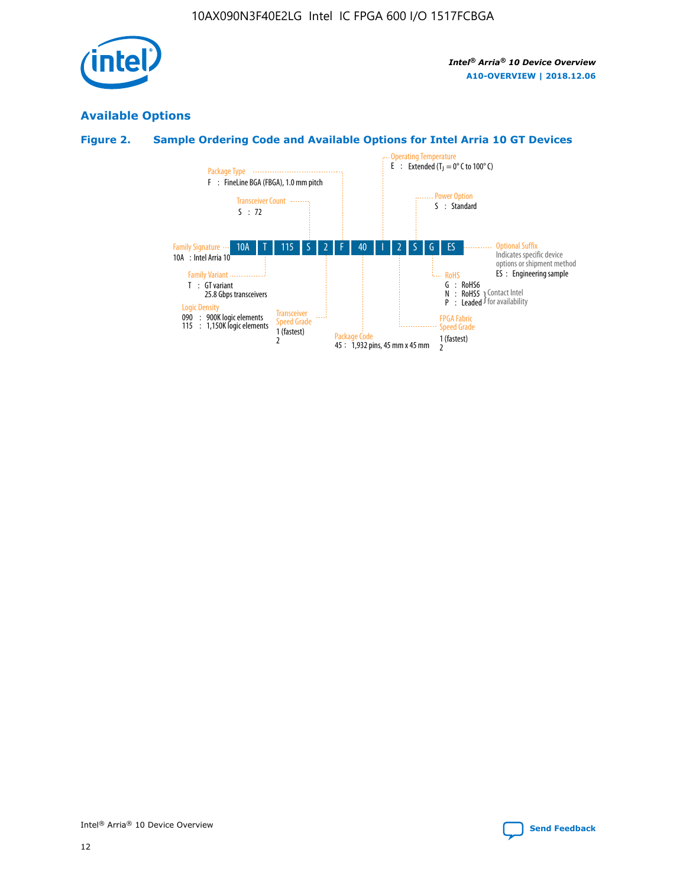

# **Available Options**

# **Figure 2. Sample Ordering Code and Available Options for Intel Arria 10 GT Devices**

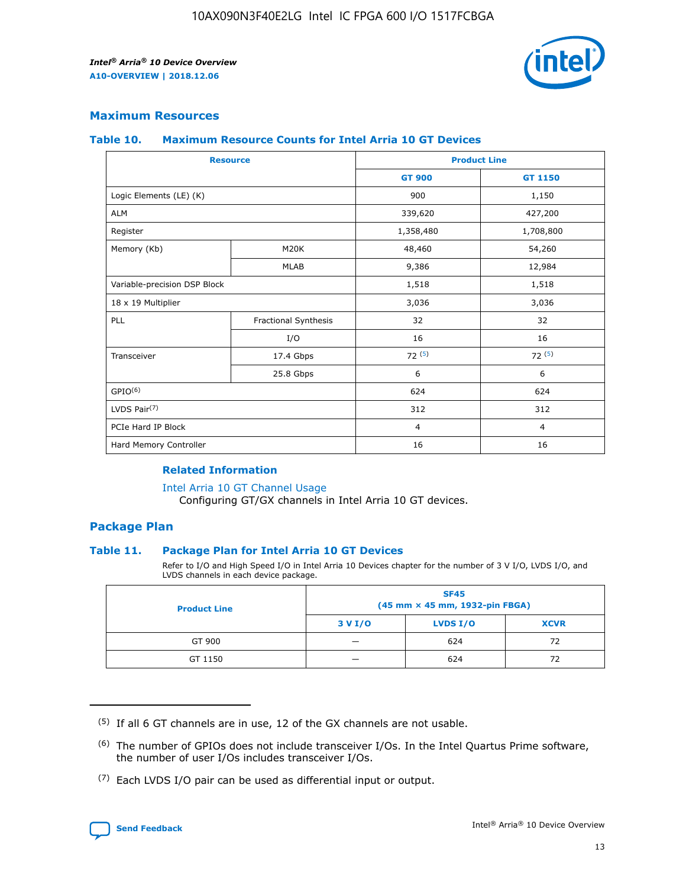

# **Maximum Resources**

#### **Table 10. Maximum Resource Counts for Intel Arria 10 GT Devices**

| <b>Resource</b>              |                      |                | <b>Product Line</b> |  |
|------------------------------|----------------------|----------------|---------------------|--|
|                              |                      | <b>GT 900</b>  | <b>GT 1150</b>      |  |
| Logic Elements (LE) (K)      |                      | 900            | 1,150               |  |
| <b>ALM</b>                   |                      | 339,620        | 427,200             |  |
| Register                     |                      | 1,358,480      | 1,708,800           |  |
| Memory (Kb)                  | M20K                 | 48,460         | 54,260              |  |
|                              | <b>MLAB</b>          | 9,386          | 12,984              |  |
| Variable-precision DSP Block |                      | 1,518          | 1,518               |  |
| 18 x 19 Multiplier           |                      | 3,036          | 3,036               |  |
| PLL                          | Fractional Synthesis | 32             | 32                  |  |
|                              | I/O                  | 16             | 16                  |  |
| Transceiver                  | 17.4 Gbps            | 72(5)          | 72(5)               |  |
|                              | 25.8 Gbps            | 6              | 6                   |  |
| GPIO <sup>(6)</sup>          |                      | 624            | 624                 |  |
| LVDS Pair $(7)$              |                      | 312            | 312                 |  |
| PCIe Hard IP Block           |                      | $\overline{4}$ | $\overline{4}$      |  |
| Hard Memory Controller       |                      | 16             | 16                  |  |

#### **Related Information**

#### [Intel Arria 10 GT Channel Usage](https://www.intel.com/content/www/us/en/programmable/documentation/nik1398707230472.html#nik1398707008178)

Configuring GT/GX channels in Intel Arria 10 GT devices.

## **Package Plan**

#### **Table 11. Package Plan for Intel Arria 10 GT Devices**

Refer to I/O and High Speed I/O in Intel Arria 10 Devices chapter for the number of 3 V I/O, LVDS I/O, and LVDS channels in each device package.

| <b>Product Line</b> | <b>SF45</b><br>(45 mm × 45 mm, 1932-pin FBGA) |                 |             |  |  |  |
|---------------------|-----------------------------------------------|-----------------|-------------|--|--|--|
|                     | 3 V I/O                                       | <b>LVDS I/O</b> | <b>XCVR</b> |  |  |  |
| GT 900              |                                               | 624             | 72          |  |  |  |
| GT 1150             |                                               | 624             | 72          |  |  |  |

<sup>(7)</sup> Each LVDS I/O pair can be used as differential input or output.



 $(5)$  If all 6 GT channels are in use, 12 of the GX channels are not usable.

<sup>(6)</sup> The number of GPIOs does not include transceiver I/Os. In the Intel Quartus Prime software, the number of user I/Os includes transceiver I/Os.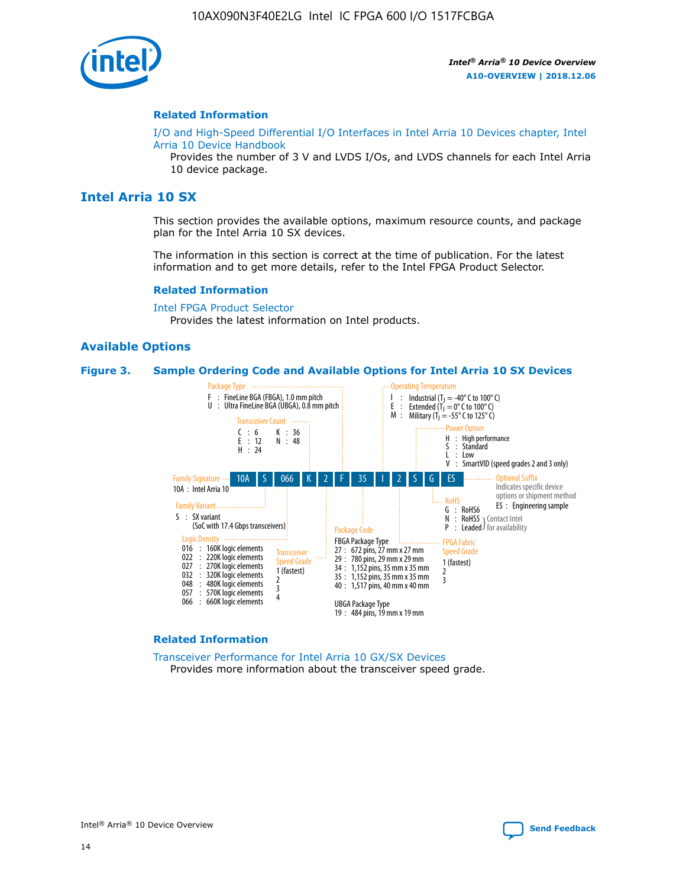

#### **Related Information**

[I/O and High-Speed Differential I/O Interfaces in Intel Arria 10 Devices chapter, Intel](https://www.intel.com/content/www/us/en/programmable/documentation/sam1403482614086.html#sam1403482030321) [Arria 10 Device Handbook](https://www.intel.com/content/www/us/en/programmable/documentation/sam1403482614086.html#sam1403482030321)

Provides the number of 3 V and LVDS I/Os, and LVDS channels for each Intel Arria 10 device package.

# **Intel Arria 10 SX**

This section provides the available options, maximum resource counts, and package plan for the Intel Arria 10 SX devices.

The information in this section is correct at the time of publication. For the latest information and to get more details, refer to the Intel FPGA Product Selector.

#### **Related Information**

[Intel FPGA Product Selector](http://www.altera.com/products/selector/psg-selector.html) Provides the latest information on Intel products.

#### **Available Options**

#### **Figure 3. Sample Ordering Code and Available Options for Intel Arria 10 SX Devices**



#### **Related Information**

[Transceiver Performance for Intel Arria 10 GX/SX Devices](https://www.intel.com/content/www/us/en/programmable/documentation/mcn1413182292568.html#mcn1413213965502) Provides more information about the transceiver speed grade.

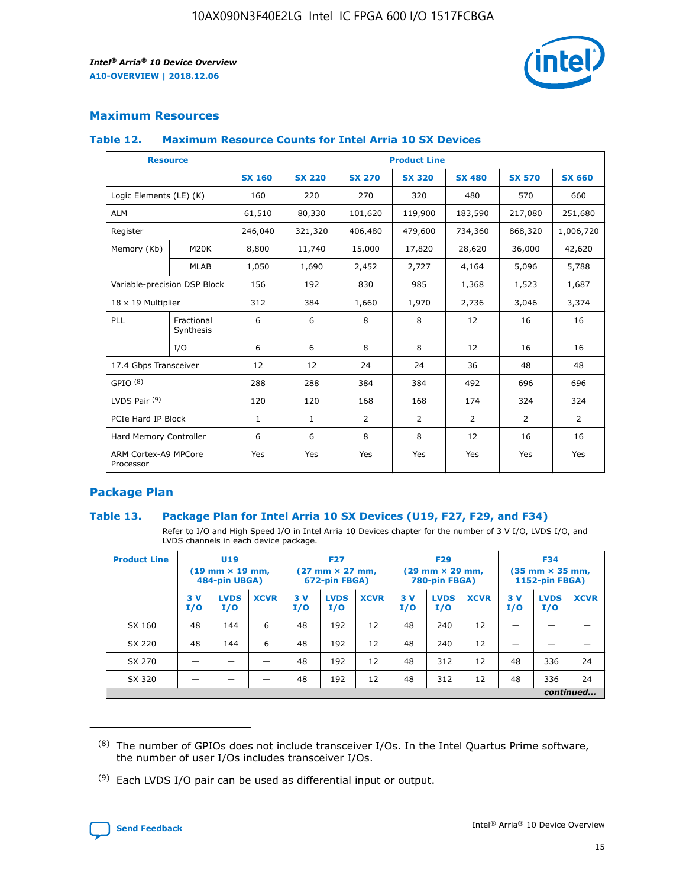

# **Maximum Resources**

#### **Table 12. Maximum Resource Counts for Intel Arria 10 SX Devices**

| <b>Resource</b>                   |                         | <b>Product Line</b> |               |               |                |               |               |               |  |  |
|-----------------------------------|-------------------------|---------------------|---------------|---------------|----------------|---------------|---------------|---------------|--|--|
|                                   |                         | <b>SX 160</b>       | <b>SX 220</b> | <b>SX 270</b> | <b>SX 320</b>  | <b>SX 480</b> | <b>SX 570</b> | <b>SX 660</b> |  |  |
| Logic Elements (LE) (K)           |                         | 160                 | 220           | 270           | 320            | 480           | 570           | 660           |  |  |
| <b>ALM</b>                        |                         | 61,510              | 80,330        | 101,620       | 119,900        | 183,590       | 217,080       | 251,680       |  |  |
| Register                          |                         | 246,040             | 321,320       | 406,480       | 479,600        | 734,360       | 868,320       | 1,006,720     |  |  |
| Memory (Kb)                       | M20K                    | 8,800               | 11,740        | 15,000        | 17,820         | 28,620        | 36,000        | 42,620        |  |  |
|                                   | <b>MLAB</b>             | 1,050               | 1,690         | 2,452         | 2,727          | 4,164         | 5,096         | 5,788         |  |  |
| Variable-precision DSP Block      |                         | 156                 | 192           | 830           | 985            | 1,368         | 1,523         | 1,687         |  |  |
| 18 x 19 Multiplier                |                         | 312                 | 384           | 1,660         | 1,970          | 2,736         | 3,046         | 3,374         |  |  |
| PLL                               | Fractional<br>Synthesis | 6                   | 6             | 8             | 8              | 12            | 16            | 16            |  |  |
|                                   | I/O                     | 6                   | 6             | 8             | 8              | 12            | 16            | 16            |  |  |
| 17.4 Gbps Transceiver             |                         | 12                  | 12            | 24            | 24             | 36            | 48            | 48            |  |  |
| GPIO <sup>(8)</sup>               |                         | 288                 | 288           | 384           | 384            | 492           | 696           | 696           |  |  |
| LVDS Pair $(9)$                   |                         | 120                 | 120           | 168           | 168            | 174           | 324           | 324           |  |  |
| PCIe Hard IP Block                |                         | $\mathbf{1}$        | $\mathbf{1}$  | 2             | $\overline{2}$ | 2             | 2             | 2             |  |  |
| Hard Memory Controller            |                         | 6                   | 6             | 8             | 8              | 12            | 16            | 16            |  |  |
| ARM Cortex-A9 MPCore<br>Processor |                         | Yes                 | Yes           | Yes           | Yes            | Yes           | Yes           | Yes           |  |  |

# **Package Plan**

#### **Table 13. Package Plan for Intel Arria 10 SX Devices (U19, F27, F29, and F34)**

Refer to I/O and High Speed I/O in Intel Arria 10 Devices chapter for the number of 3 V I/O, LVDS I/O, and LVDS channels in each device package.

| <b>Product Line</b> | U <sub>19</sub><br>$(19 \text{ mm} \times 19 \text{ mm})$<br>484-pin UBGA) |                    | <b>F27</b><br>$(27 \text{ mm} \times 27 \text{ mm})$<br>672-pin FBGA) |           | <b>F29</b><br>$(29 \text{ mm} \times 29 \text{ mm})$<br>780-pin FBGA) |             |            | <b>F34</b><br>$(35 \text{ mm} \times 35 \text{ mm})$<br><b>1152-pin FBGA)</b> |             |           |                    |             |
|---------------------|----------------------------------------------------------------------------|--------------------|-----------------------------------------------------------------------|-----------|-----------------------------------------------------------------------|-------------|------------|-------------------------------------------------------------------------------|-------------|-----------|--------------------|-------------|
|                     | 3V<br>I/O                                                                  | <b>LVDS</b><br>I/O | <b>XCVR</b>                                                           | 3V<br>I/O | <b>LVDS</b><br>I/O                                                    | <b>XCVR</b> | 3 V<br>I/O | <b>LVDS</b><br>I/O                                                            | <b>XCVR</b> | 3V<br>I/O | <b>LVDS</b><br>I/O | <b>XCVR</b> |
| SX 160              | 48                                                                         | 144                | 6                                                                     | 48        | 192                                                                   | 12          | 48         | 240                                                                           | 12          | –         |                    |             |
| SX 220              | 48                                                                         | 144                | 6                                                                     | 48        | 192                                                                   | 12          | 48         | 240                                                                           | 12          |           |                    |             |
| SX 270              |                                                                            |                    |                                                                       | 48        | 192                                                                   | 12          | 48         | 312                                                                           | 12          | 48        | 336                | 24          |
| SX 320              |                                                                            |                    |                                                                       | 48        | 192                                                                   | 12          | 48         | 312                                                                           | 12          | 48        | 336                | 24          |
|                     |                                                                            |                    |                                                                       |           |                                                                       |             |            |                                                                               |             |           |                    | continued   |

 $(8)$  The number of GPIOs does not include transceiver I/Os. In the Intel Quartus Prime software, the number of user I/Os includes transceiver I/Os.

 $(9)$  Each LVDS I/O pair can be used as differential input or output.

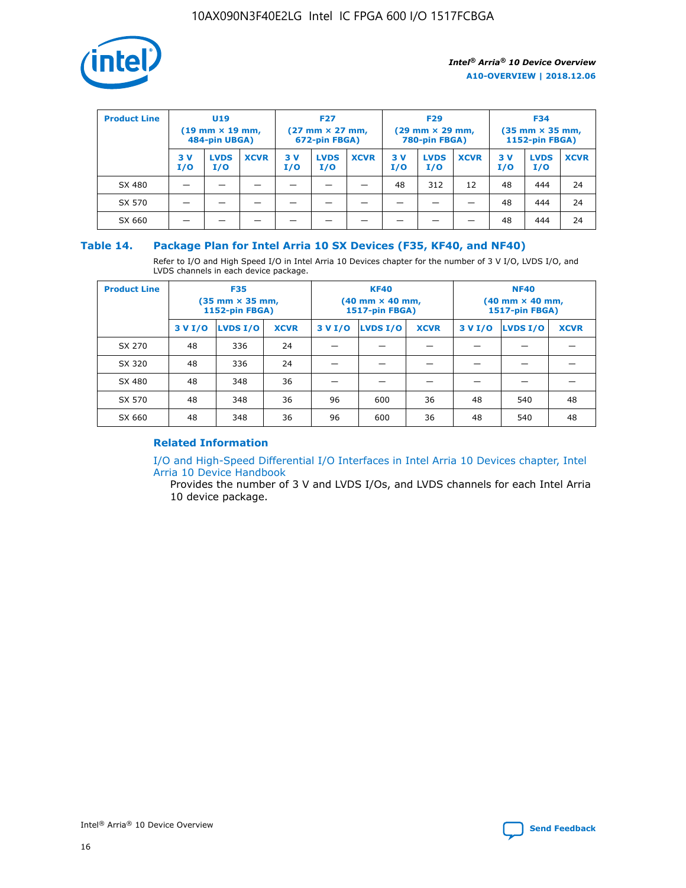

| <b>Product Line</b> | U <sub>19</sub><br>$(19 \text{ mm} \times 19 \text{ mm})$<br>484-pin UBGA) |                    | <b>F27</b><br>$(27 \text{ mm} \times 27 \text{ mm})$<br>672-pin FBGA) |           | <b>F29</b><br>$(29 \text{ mm} \times 29 \text{ mm})$<br>780-pin FBGA) |             |           | <b>F34</b><br>$(35$ mm $\times$ 35 mm,<br><b>1152-pin FBGA)</b> |             |           |                    |             |
|---------------------|----------------------------------------------------------------------------|--------------------|-----------------------------------------------------------------------|-----------|-----------------------------------------------------------------------|-------------|-----------|-----------------------------------------------------------------|-------------|-----------|--------------------|-------------|
|                     | 3V<br>I/O                                                                  | <b>LVDS</b><br>I/O | <b>XCVR</b>                                                           | 3V<br>I/O | <b>LVDS</b><br>I/O                                                    | <b>XCVR</b> | 3V<br>I/O | <b>LVDS</b><br>I/O                                              | <b>XCVR</b> | 3V<br>I/O | <b>LVDS</b><br>I/O | <b>XCVR</b> |
| SX 480              |                                                                            |                    |                                                                       |           |                                                                       |             | 48        | 312                                                             | 12          | 48        | 444                | 24          |
| SX 570              |                                                                            |                    |                                                                       |           |                                                                       |             |           |                                                                 |             | 48        | 444                | 24          |
| SX 660              |                                                                            |                    |                                                                       |           |                                                                       |             |           |                                                                 |             | 48        | 444                | 24          |

## **Table 14. Package Plan for Intel Arria 10 SX Devices (F35, KF40, and NF40)**

Refer to I/O and High Speed I/O in Intel Arria 10 Devices chapter for the number of 3 V I/O, LVDS I/O, and LVDS channels in each device package.

| <b>Product Line</b> | <b>F35</b><br>$(35 \text{ mm} \times 35 \text{ mm})$<br><b>1152-pin FBGA)</b> |          |             |                                           | <b>KF40</b><br>(40 mm × 40 mm,<br>1517-pin FBGA) |    | <b>NF40</b><br>$(40 \text{ mm} \times 40 \text{ mm})$<br>1517-pin FBGA) |          |             |  |
|---------------------|-------------------------------------------------------------------------------|----------|-------------|-------------------------------------------|--------------------------------------------------|----|-------------------------------------------------------------------------|----------|-------------|--|
|                     | 3 V I/O                                                                       | LVDS I/O | <b>XCVR</b> | <b>LVDS I/O</b><br><b>XCVR</b><br>3 V I/O |                                                  |    | 3 V I/O                                                                 | LVDS I/O | <b>XCVR</b> |  |
| SX 270              | 48                                                                            | 336      | 24          |                                           |                                                  |    |                                                                         |          |             |  |
| SX 320              | 48                                                                            | 336      | 24          |                                           |                                                  |    |                                                                         |          |             |  |
| SX 480              | 48                                                                            | 348      | 36          |                                           |                                                  |    |                                                                         |          |             |  |
| SX 570              | 48                                                                            | 348      | 36          | 96                                        | 600                                              | 36 | 48                                                                      | 540      | 48          |  |
| SX 660              | 48                                                                            | 348      | 36          | 96                                        | 600                                              | 36 | 48                                                                      | 540      | 48          |  |

# **Related Information**

[I/O and High-Speed Differential I/O Interfaces in Intel Arria 10 Devices chapter, Intel](https://www.intel.com/content/www/us/en/programmable/documentation/sam1403482614086.html#sam1403482030321) [Arria 10 Device Handbook](https://www.intel.com/content/www/us/en/programmable/documentation/sam1403482614086.html#sam1403482030321)

Provides the number of 3 V and LVDS I/Os, and LVDS channels for each Intel Arria 10 device package.

Intel<sup>®</sup> Arria<sup>®</sup> 10 Device Overview **[Send Feedback](mailto:FPGAtechdocfeedback@intel.com?subject=Feedback%20on%20Intel%20Arria%2010%20Device%20Overview%20(A10-OVERVIEW%202018.12.06)&body=We%20appreciate%20your%20feedback.%20In%20your%20comments,%20also%20specify%20the%20page%20number%20or%20paragraph.%20Thank%20you.)** Send Feedback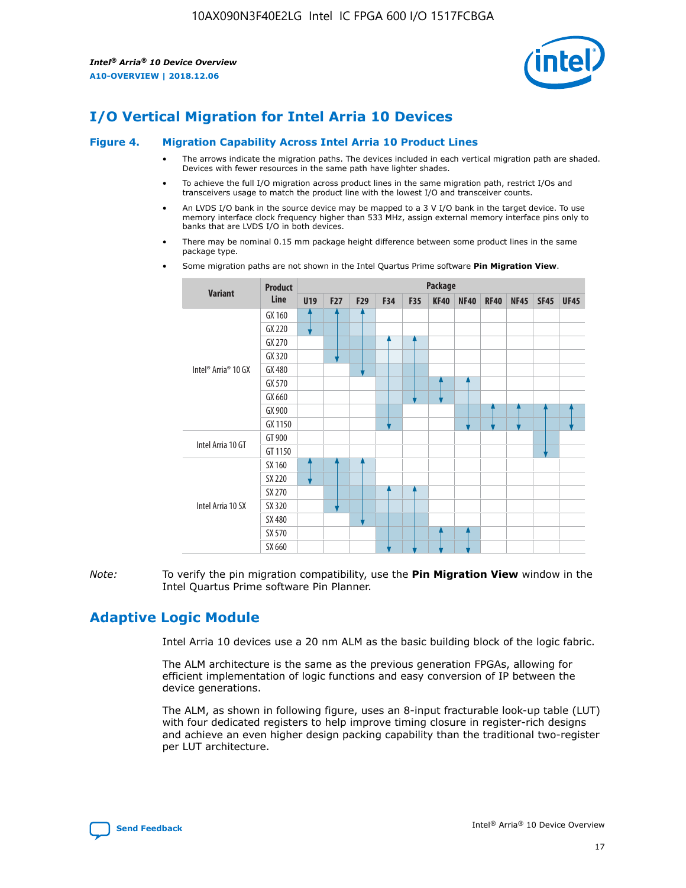

# **I/O Vertical Migration for Intel Arria 10 Devices**

#### **Figure 4. Migration Capability Across Intel Arria 10 Product Lines**

- The arrows indicate the migration paths. The devices included in each vertical migration path are shaded. Devices with fewer resources in the same path have lighter shades.
- To achieve the full I/O migration across product lines in the same migration path, restrict I/Os and transceivers usage to match the product line with the lowest I/O and transceiver counts.
- An LVDS I/O bank in the source device may be mapped to a 3 V I/O bank in the target device. To use memory interface clock frequency higher than 533 MHz, assign external memory interface pins only to banks that are LVDS I/O in both devices.
- There may be nominal 0.15 mm package height difference between some product lines in the same package type.
	- **Variant Product Line Package U19 F27 F29 F34 F35 KF40 NF40 RF40 NF45 SF45 UF45** Intel® Arria® 10 GX GX 160 GX 220 GX 270 GX 320 GX 480 GX 570 GX 660 GX 900 GX 1150 Intel Arria 10 GT GT 900 GT 1150 Intel Arria 10 SX SX 160 SX 220 SX 270 SX 320 SX 480 SX 570 SX 660
- Some migration paths are not shown in the Intel Quartus Prime software **Pin Migration View**.

*Note:* To verify the pin migration compatibility, use the **Pin Migration View** window in the Intel Quartus Prime software Pin Planner.

# **Adaptive Logic Module**

Intel Arria 10 devices use a 20 nm ALM as the basic building block of the logic fabric.

The ALM architecture is the same as the previous generation FPGAs, allowing for efficient implementation of logic functions and easy conversion of IP between the device generations.

The ALM, as shown in following figure, uses an 8-input fracturable look-up table (LUT) with four dedicated registers to help improve timing closure in register-rich designs and achieve an even higher design packing capability than the traditional two-register per LUT architecture.

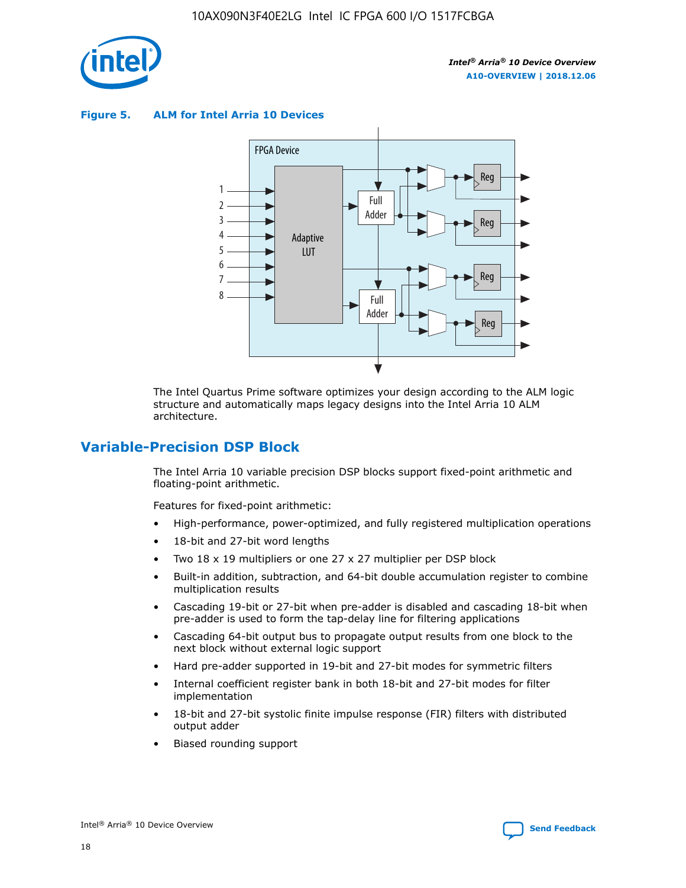

**Figure 5. ALM for Intel Arria 10 Devices**



The Intel Quartus Prime software optimizes your design according to the ALM logic structure and automatically maps legacy designs into the Intel Arria 10 ALM architecture.

# **Variable-Precision DSP Block**

The Intel Arria 10 variable precision DSP blocks support fixed-point arithmetic and floating-point arithmetic.

Features for fixed-point arithmetic:

- High-performance, power-optimized, and fully registered multiplication operations
- 18-bit and 27-bit word lengths
- Two 18 x 19 multipliers or one 27 x 27 multiplier per DSP block
- Built-in addition, subtraction, and 64-bit double accumulation register to combine multiplication results
- Cascading 19-bit or 27-bit when pre-adder is disabled and cascading 18-bit when pre-adder is used to form the tap-delay line for filtering applications
- Cascading 64-bit output bus to propagate output results from one block to the next block without external logic support
- Hard pre-adder supported in 19-bit and 27-bit modes for symmetric filters
- Internal coefficient register bank in both 18-bit and 27-bit modes for filter implementation
- 18-bit and 27-bit systolic finite impulse response (FIR) filters with distributed output adder
- Biased rounding support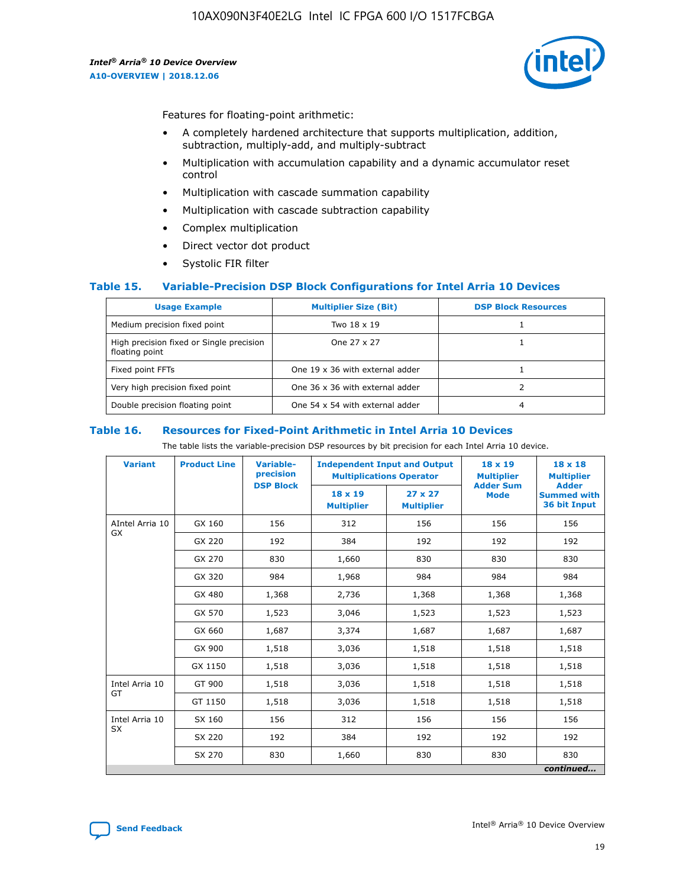

Features for floating-point arithmetic:

- A completely hardened architecture that supports multiplication, addition, subtraction, multiply-add, and multiply-subtract
- Multiplication with accumulation capability and a dynamic accumulator reset control
- Multiplication with cascade summation capability
- Multiplication with cascade subtraction capability
- Complex multiplication
- Direct vector dot product
- Systolic FIR filter

#### **Table 15. Variable-Precision DSP Block Configurations for Intel Arria 10 Devices**

| <b>Usage Example</b>                                       | <b>Multiplier Size (Bit)</b>    | <b>DSP Block Resources</b> |
|------------------------------------------------------------|---------------------------------|----------------------------|
| Medium precision fixed point                               | Two 18 x 19                     |                            |
| High precision fixed or Single precision<br>floating point | One 27 x 27                     |                            |
| Fixed point FFTs                                           | One 19 x 36 with external adder |                            |
| Very high precision fixed point                            | One 36 x 36 with external adder |                            |
| Double precision floating point                            | One 54 x 54 with external adder | 4                          |

#### **Table 16. Resources for Fixed-Point Arithmetic in Intel Arria 10 Devices**

The table lists the variable-precision DSP resources by bit precision for each Intel Arria 10 device.

| <b>Variant</b>  | <b>Product Line</b> | <b>Variable-</b><br>precision<br><b>DSP Block</b> | <b>Independent Input and Output</b><br><b>Multiplications Operator</b> |                                     | 18 x 19<br><b>Multiplier</b><br><b>Adder Sum</b> | $18 \times 18$<br><b>Multiplier</b><br><b>Adder</b> |
|-----------------|---------------------|---------------------------------------------------|------------------------------------------------------------------------|-------------------------------------|--------------------------------------------------|-----------------------------------------------------|
|                 |                     |                                                   | 18 x 19<br><b>Multiplier</b>                                           | $27 \times 27$<br><b>Multiplier</b> | <b>Mode</b>                                      | <b>Summed with</b><br>36 bit Input                  |
| AIntel Arria 10 | GX 160              | 156                                               | 312                                                                    | 156                                 | 156                                              | 156                                                 |
| GX              | GX 220              | 192                                               | 384                                                                    | 192                                 | 192                                              | 192                                                 |
|                 | GX 270              | 830                                               | 1,660                                                                  | 830                                 | 830                                              | 830                                                 |
|                 | GX 320              | 984                                               | 1,968                                                                  | 984                                 | 984                                              | 984                                                 |
|                 | GX 480              | 1,368                                             | 2,736                                                                  | 1,368                               | 1,368                                            | 1,368                                               |
|                 | GX 570              | 1,523                                             | 3,046                                                                  | 1,523                               | 1,523                                            | 1,523                                               |
|                 | GX 660              | 1,687                                             | 3,374                                                                  | 1,687                               | 1,687                                            | 1,687                                               |
|                 | GX 900              | 1,518                                             | 3,036                                                                  | 1,518                               | 1,518                                            | 1,518                                               |
|                 | GX 1150             | 1,518                                             | 3,036                                                                  | 1,518                               | 1,518                                            | 1,518                                               |
| Intel Arria 10  | GT 900              | 1,518                                             | 3,036                                                                  | 1,518                               | 1,518                                            | 1,518                                               |
| GT              | GT 1150             | 1,518                                             | 3,036                                                                  | 1,518                               | 1,518                                            | 1,518                                               |
| Intel Arria 10  | SX 160              | 156                                               | 312                                                                    | 156                                 | 156                                              | 156                                                 |
| <b>SX</b>       | SX 220              | 192                                               | 384                                                                    | 192                                 | 192                                              | 192                                                 |
|                 | SX 270              | 830                                               | 1,660                                                                  | 830                                 | 830                                              | 830                                                 |
|                 |                     |                                                   |                                                                        |                                     |                                                  | continued                                           |

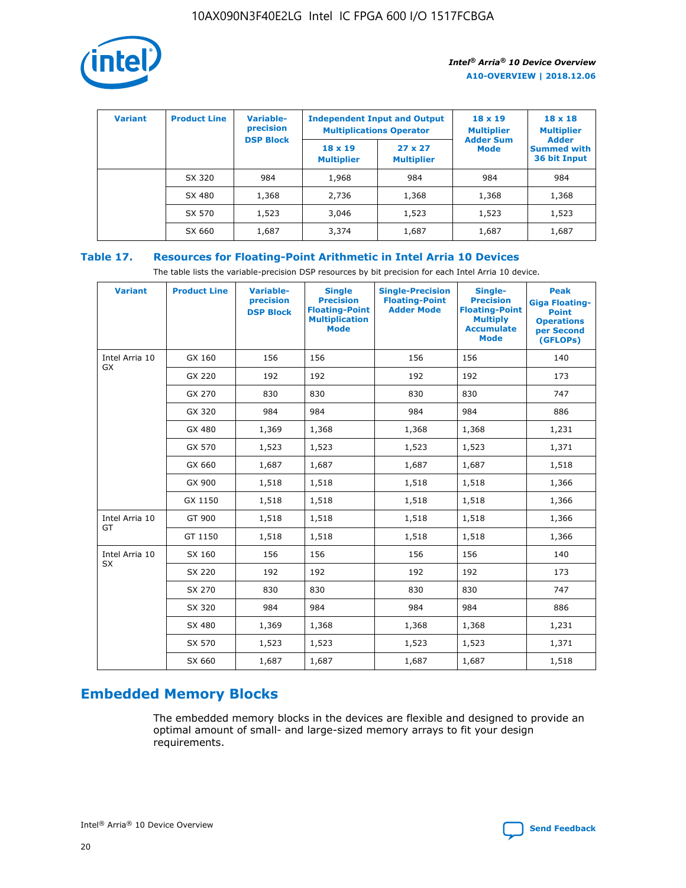

| <b>Variant</b> | <b>Product Line</b> | Variable-<br>precision | <b>Independent Input and Output</b><br><b>Multiplications Operator</b> |                                     | $18 \times 19$<br><b>Multiplier</b> | $18 \times 18$<br><b>Multiplier</b><br><b>Adder</b> |  |
|----------------|---------------------|------------------------|------------------------------------------------------------------------|-------------------------------------|-------------------------------------|-----------------------------------------------------|--|
|                |                     | <b>DSP Block</b>       | $18 \times 19$<br><b>Multiplier</b>                                    | $27 \times 27$<br><b>Multiplier</b> | <b>Adder Sum</b><br><b>Mode</b>     | <b>Summed with</b><br>36 bit Input                  |  |
|                | SX 320              | 984                    | 1,968                                                                  | 984                                 | 984                                 | 984                                                 |  |
|                | SX 480              | 1,368                  | 2,736                                                                  | 1,368                               | 1,368                               | 1,368                                               |  |
|                | SX 570              | 1,523                  | 3,046                                                                  | 1,523                               | 1,523                               | 1,523                                               |  |
|                | SX 660              | 1,687                  | 3,374                                                                  | 1,687                               | 1,687                               | 1,687                                               |  |

# **Table 17. Resources for Floating-Point Arithmetic in Intel Arria 10 Devices**

The table lists the variable-precision DSP resources by bit precision for each Intel Arria 10 device.

| <b>Variant</b> | <b>Product Line</b> | <b>Variable-</b><br>precision<br><b>DSP Block</b> | <b>Single</b><br><b>Precision</b><br><b>Floating-Point</b><br><b>Multiplication</b><br><b>Mode</b> | <b>Single-Precision</b><br><b>Floating-Point</b><br><b>Adder Mode</b> | Single-<br><b>Precision</b><br><b>Floating-Point</b><br><b>Multiply</b><br><b>Accumulate</b><br><b>Mode</b> | <b>Peak</b><br><b>Giga Floating-</b><br><b>Point</b><br><b>Operations</b><br>per Second<br>(GFLOPs) |
|----------------|---------------------|---------------------------------------------------|----------------------------------------------------------------------------------------------------|-----------------------------------------------------------------------|-------------------------------------------------------------------------------------------------------------|-----------------------------------------------------------------------------------------------------|
| Intel Arria 10 | GX 160              | 156                                               | 156                                                                                                | 156                                                                   | 156                                                                                                         | 140                                                                                                 |
| GX             | GX 220              | 192                                               | 192                                                                                                | 192                                                                   | 192                                                                                                         | 173                                                                                                 |
|                | GX 270              | 830                                               | 830                                                                                                | 830                                                                   | 830                                                                                                         | 747                                                                                                 |
|                | GX 320              | 984                                               | 984                                                                                                | 984                                                                   | 984                                                                                                         | 886                                                                                                 |
|                | GX 480              | 1,369                                             | 1,368                                                                                              | 1,368                                                                 | 1,368                                                                                                       | 1,231                                                                                               |
|                | GX 570              | 1,523                                             | 1,523                                                                                              | 1,523                                                                 | 1,523                                                                                                       | 1,371                                                                                               |
|                | GX 660              | 1,687                                             | 1,687                                                                                              | 1,687                                                                 | 1,687                                                                                                       | 1,518                                                                                               |
|                | GX 900              | 1,518                                             | 1,518                                                                                              | 1,518                                                                 | 1,518                                                                                                       | 1,366                                                                                               |
|                | GX 1150             | 1,518                                             | 1,518                                                                                              | 1,518                                                                 | 1,518                                                                                                       | 1,366                                                                                               |
| Intel Arria 10 | GT 900              | 1,518                                             | 1,518                                                                                              | 1,518                                                                 | 1,518                                                                                                       | 1,366                                                                                               |
| GT             | GT 1150             | 1,518                                             | 1,518                                                                                              | 1,518                                                                 | 1,518                                                                                                       | 1,366                                                                                               |
| Intel Arria 10 | SX 160              | 156                                               | 156                                                                                                | 156                                                                   | 156                                                                                                         | 140                                                                                                 |
| <b>SX</b>      | SX 220              | 192                                               | 192                                                                                                | 192                                                                   | 192                                                                                                         | 173                                                                                                 |
|                | SX 270              | 830                                               | 830                                                                                                | 830                                                                   | 830                                                                                                         | 747                                                                                                 |
|                | SX 320              | 984                                               | 984                                                                                                | 984                                                                   | 984                                                                                                         | 886                                                                                                 |
|                | SX 480              | 1,369                                             | 1,368                                                                                              | 1,368                                                                 | 1,368                                                                                                       | 1,231                                                                                               |
|                | SX 570              | 1,523                                             | 1,523                                                                                              | 1,523                                                                 | 1,523                                                                                                       | 1,371                                                                                               |
|                | SX 660              | 1,687                                             | 1,687                                                                                              | 1,687                                                                 | 1,687                                                                                                       | 1,518                                                                                               |

# **Embedded Memory Blocks**

The embedded memory blocks in the devices are flexible and designed to provide an optimal amount of small- and large-sized memory arrays to fit your design requirements.

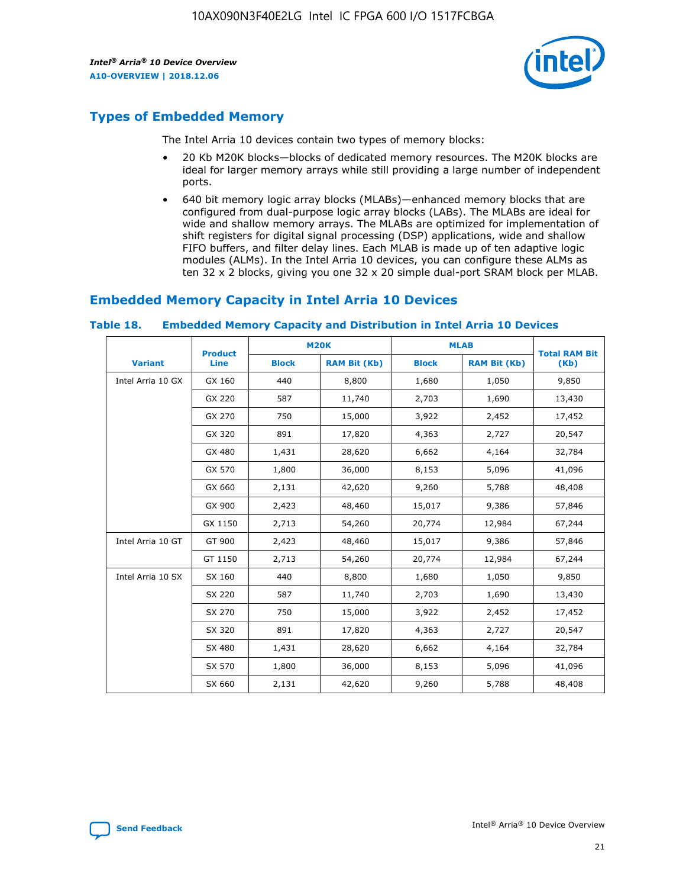

# **Types of Embedded Memory**

The Intel Arria 10 devices contain two types of memory blocks:

- 20 Kb M20K blocks—blocks of dedicated memory resources. The M20K blocks are ideal for larger memory arrays while still providing a large number of independent ports.
- 640 bit memory logic array blocks (MLABs)—enhanced memory blocks that are configured from dual-purpose logic array blocks (LABs). The MLABs are ideal for wide and shallow memory arrays. The MLABs are optimized for implementation of shift registers for digital signal processing (DSP) applications, wide and shallow FIFO buffers, and filter delay lines. Each MLAB is made up of ten adaptive logic modules (ALMs). In the Intel Arria 10 devices, you can configure these ALMs as ten 32 x 2 blocks, giving you one 32 x 20 simple dual-port SRAM block per MLAB.

# **Embedded Memory Capacity in Intel Arria 10 Devices**

|                   | <b>Product</b> |              | <b>M20K</b>         |              | <b>MLAB</b>         | <b>Total RAM Bit</b> |
|-------------------|----------------|--------------|---------------------|--------------|---------------------|----------------------|
| <b>Variant</b>    | Line           | <b>Block</b> | <b>RAM Bit (Kb)</b> | <b>Block</b> | <b>RAM Bit (Kb)</b> | (Kb)                 |
| Intel Arria 10 GX | GX 160         | 440          | 8,800               | 1,680        | 1,050               | 9,850                |
|                   | GX 220         | 587          | 11,740              | 2,703        | 1,690               | 13,430               |
|                   | GX 270         | 750          | 15,000              | 3,922        | 2,452               | 17,452               |
|                   | GX 320         | 891          | 17,820              | 4,363        | 2,727               | 20,547               |
|                   | GX 480         | 1,431        | 28,620              | 6,662        | 4,164               | 32,784               |
|                   | GX 570         | 1,800        | 36,000              | 8,153        | 5,096               | 41,096               |
|                   | GX 660         | 2,131        | 42,620              | 9,260        | 5,788               | 48,408               |
|                   | GX 900         | 2,423        | 48,460              | 15,017       | 9,386               | 57,846               |
|                   | GX 1150        | 2,713        | 54,260              | 20,774       | 12,984              | 67,244               |
| Intel Arria 10 GT | GT 900         | 2,423        | 48,460              | 15,017       | 9,386               | 57,846               |
|                   | GT 1150        | 2,713        | 54,260              | 20,774       | 12,984              | 67,244               |
| Intel Arria 10 SX | SX 160         | 440          | 8,800               | 1,680        | 1,050               | 9,850                |
|                   | SX 220         | 587          | 11,740              | 2,703        | 1,690               | 13,430               |
|                   | SX 270         | 750          | 15,000              | 3,922        | 2,452               | 17,452               |
|                   | SX 320         | 891          | 17,820              | 4,363        | 2,727               | 20,547               |
|                   | SX 480         | 1,431        | 28,620              | 6,662        | 4,164               | 32,784               |
|                   | SX 570         | 1,800        | 36,000              | 8,153        | 5,096               | 41,096               |
|                   | SX 660         | 2,131        | 42,620              | 9,260        | 5,788               | 48,408               |

#### **Table 18. Embedded Memory Capacity and Distribution in Intel Arria 10 Devices**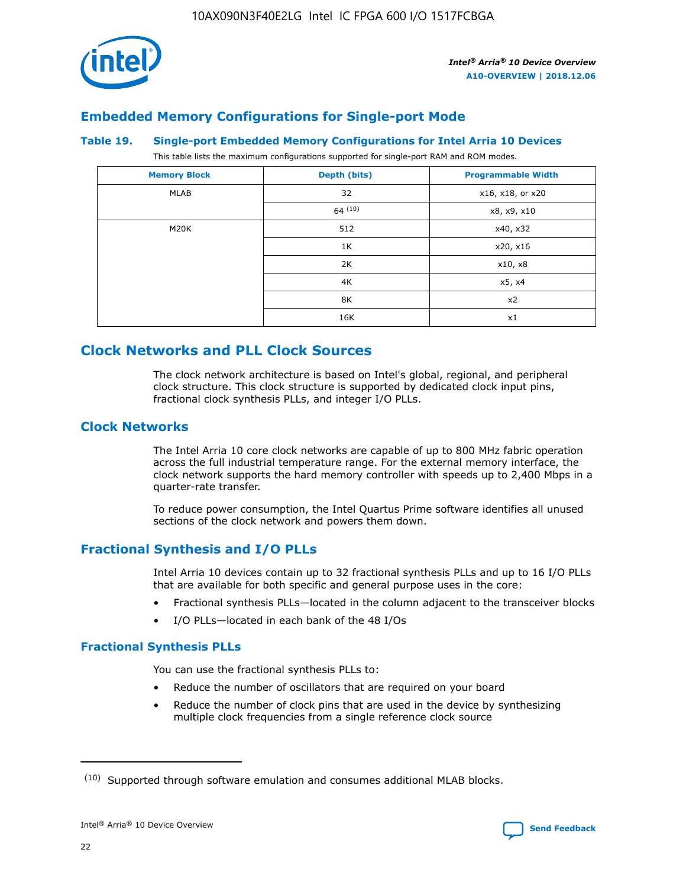

# **Embedded Memory Configurations for Single-port Mode**

#### **Table 19. Single-port Embedded Memory Configurations for Intel Arria 10 Devices**

This table lists the maximum configurations supported for single-port RAM and ROM modes.

| <b>Memory Block</b> | Depth (bits) | <b>Programmable Width</b> |
|---------------------|--------------|---------------------------|
| MLAB                | 32           | x16, x18, or x20          |
|                     | 64(10)       | x8, x9, x10               |
| M20K                | 512          | x40, x32                  |
|                     | 1K           | x20, x16                  |
|                     | 2K           | x10, x8                   |
|                     | 4K           | x5, x4                    |
|                     | 8K           | x2                        |
|                     | 16K          | x1                        |

# **Clock Networks and PLL Clock Sources**

The clock network architecture is based on Intel's global, regional, and peripheral clock structure. This clock structure is supported by dedicated clock input pins, fractional clock synthesis PLLs, and integer I/O PLLs.

## **Clock Networks**

The Intel Arria 10 core clock networks are capable of up to 800 MHz fabric operation across the full industrial temperature range. For the external memory interface, the clock network supports the hard memory controller with speeds up to 2,400 Mbps in a quarter-rate transfer.

To reduce power consumption, the Intel Quartus Prime software identifies all unused sections of the clock network and powers them down.

# **Fractional Synthesis and I/O PLLs**

Intel Arria 10 devices contain up to 32 fractional synthesis PLLs and up to 16 I/O PLLs that are available for both specific and general purpose uses in the core:

- Fractional synthesis PLLs—located in the column adjacent to the transceiver blocks
- I/O PLLs—located in each bank of the 48 I/Os

#### **Fractional Synthesis PLLs**

You can use the fractional synthesis PLLs to:

- Reduce the number of oscillators that are required on your board
- Reduce the number of clock pins that are used in the device by synthesizing multiple clock frequencies from a single reference clock source

<sup>(10)</sup> Supported through software emulation and consumes additional MLAB blocks.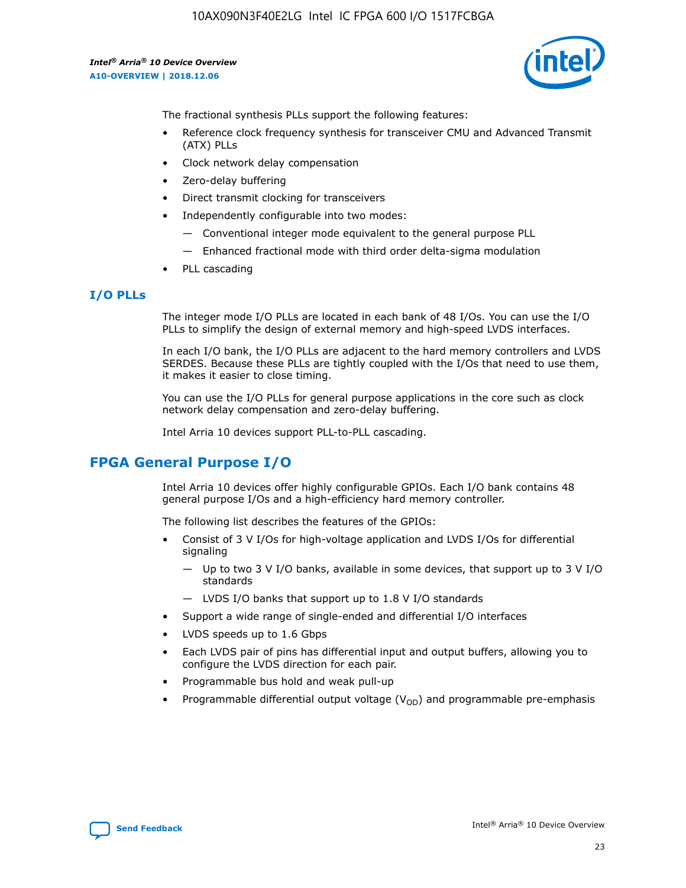10AX090N3F40E2LG Intel IC FPGA 600 I/O 1517FCBGA

*Intel® Arria® 10 Device Overview* **A10-OVERVIEW | 2018.12.06**



The fractional synthesis PLLs support the following features:

- Reference clock frequency synthesis for transceiver CMU and Advanced Transmit (ATX) PLLs
- Clock network delay compensation
- Zero-delay buffering
- Direct transmit clocking for transceivers
- Independently configurable into two modes:
	- Conventional integer mode equivalent to the general purpose PLL
	- Enhanced fractional mode with third order delta-sigma modulation
- PLL cascading

## **I/O PLLs**

The integer mode I/O PLLs are located in each bank of 48 I/Os. You can use the I/O PLLs to simplify the design of external memory and high-speed LVDS interfaces.

In each I/O bank, the I/O PLLs are adjacent to the hard memory controllers and LVDS SERDES. Because these PLLs are tightly coupled with the I/Os that need to use them, it makes it easier to close timing.

You can use the I/O PLLs for general purpose applications in the core such as clock network delay compensation and zero-delay buffering.

Intel Arria 10 devices support PLL-to-PLL cascading.

# **FPGA General Purpose I/O**

Intel Arria 10 devices offer highly configurable GPIOs. Each I/O bank contains 48 general purpose I/Os and a high-efficiency hard memory controller.

The following list describes the features of the GPIOs:

- Consist of 3 V I/Os for high-voltage application and LVDS I/Os for differential signaling
	- Up to two 3 V I/O banks, available in some devices, that support up to 3 V I/O standards
	- LVDS I/O banks that support up to 1.8 V I/O standards
- Support a wide range of single-ended and differential I/O interfaces
- LVDS speeds up to 1.6 Gbps
- Each LVDS pair of pins has differential input and output buffers, allowing you to configure the LVDS direction for each pair.
- Programmable bus hold and weak pull-up
- Programmable differential output voltage  $(V_{OD})$  and programmable pre-emphasis

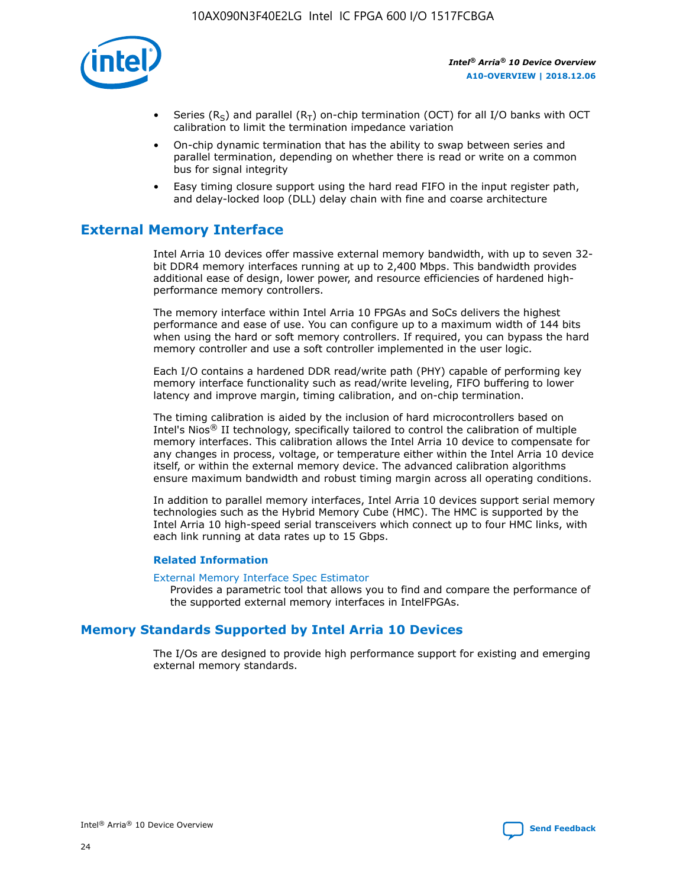

- Series (R<sub>S</sub>) and parallel (R<sub>T</sub>) on-chip termination (OCT) for all I/O banks with OCT calibration to limit the termination impedance variation
- On-chip dynamic termination that has the ability to swap between series and parallel termination, depending on whether there is read or write on a common bus for signal integrity
- Easy timing closure support using the hard read FIFO in the input register path, and delay-locked loop (DLL) delay chain with fine and coarse architecture

# **External Memory Interface**

Intel Arria 10 devices offer massive external memory bandwidth, with up to seven 32 bit DDR4 memory interfaces running at up to 2,400 Mbps. This bandwidth provides additional ease of design, lower power, and resource efficiencies of hardened highperformance memory controllers.

The memory interface within Intel Arria 10 FPGAs and SoCs delivers the highest performance and ease of use. You can configure up to a maximum width of 144 bits when using the hard or soft memory controllers. If required, you can bypass the hard memory controller and use a soft controller implemented in the user logic.

Each I/O contains a hardened DDR read/write path (PHY) capable of performing key memory interface functionality such as read/write leveling, FIFO buffering to lower latency and improve margin, timing calibration, and on-chip termination.

The timing calibration is aided by the inclusion of hard microcontrollers based on Intel's Nios® II technology, specifically tailored to control the calibration of multiple memory interfaces. This calibration allows the Intel Arria 10 device to compensate for any changes in process, voltage, or temperature either within the Intel Arria 10 device itself, or within the external memory device. The advanced calibration algorithms ensure maximum bandwidth and robust timing margin across all operating conditions.

In addition to parallel memory interfaces, Intel Arria 10 devices support serial memory technologies such as the Hybrid Memory Cube (HMC). The HMC is supported by the Intel Arria 10 high-speed serial transceivers which connect up to four HMC links, with each link running at data rates up to 15 Gbps.

#### **Related Information**

#### [External Memory Interface Spec Estimator](http://www.altera.com/technology/memory/estimator/mem-emif-index.html)

Provides a parametric tool that allows you to find and compare the performance of the supported external memory interfaces in IntelFPGAs.

# **Memory Standards Supported by Intel Arria 10 Devices**

The I/Os are designed to provide high performance support for existing and emerging external memory standards.

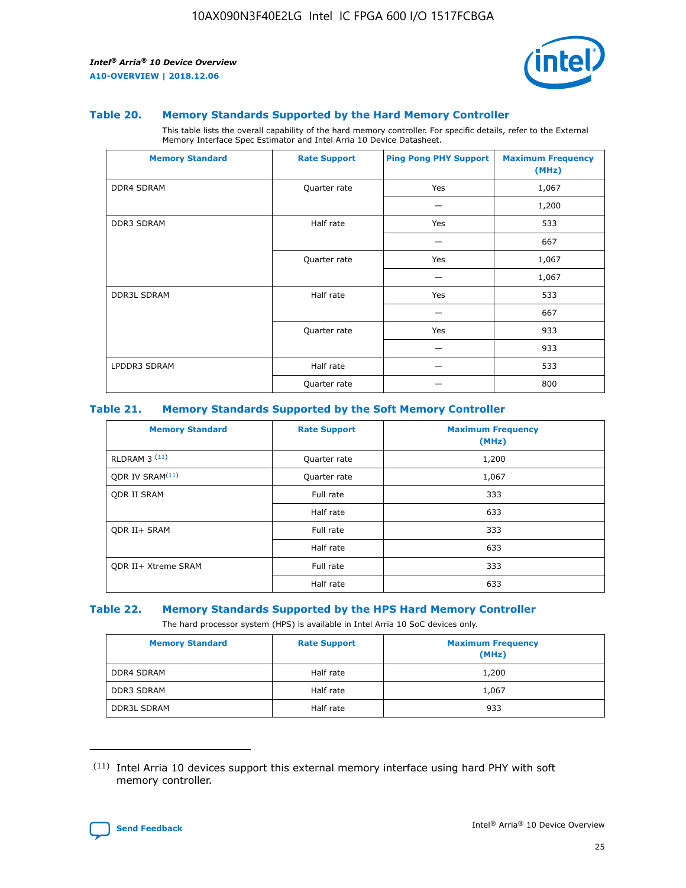

#### **Table 20. Memory Standards Supported by the Hard Memory Controller**

This table lists the overall capability of the hard memory controller. For specific details, refer to the External Memory Interface Spec Estimator and Intel Arria 10 Device Datasheet.

| <b>Memory Standard</b> | <b>Rate Support</b> | <b>Ping Pong PHY Support</b> | <b>Maximum Frequency</b><br>(MHz) |
|------------------------|---------------------|------------------------------|-----------------------------------|
| <b>DDR4 SDRAM</b>      | Quarter rate        | Yes                          | 1,067                             |
|                        |                     |                              | 1,200                             |
| DDR3 SDRAM             | Half rate           | Yes                          | 533                               |
|                        |                     |                              | 667                               |
|                        | Quarter rate        | Yes                          | 1,067                             |
|                        |                     |                              | 1,067                             |
| <b>DDR3L SDRAM</b>     | Half rate           | Yes                          | 533                               |
|                        |                     |                              | 667                               |
|                        | Quarter rate        | Yes                          | 933                               |
|                        |                     |                              | 933                               |
| LPDDR3 SDRAM           | Half rate           |                              | 533                               |
|                        | Quarter rate        |                              | 800                               |

#### **Table 21. Memory Standards Supported by the Soft Memory Controller**

| <b>Memory Standard</b>      | <b>Rate Support</b> | <b>Maximum Frequency</b><br>(MHz) |
|-----------------------------|---------------------|-----------------------------------|
| <b>RLDRAM 3 (11)</b>        | Quarter rate        | 1,200                             |
| ODR IV SRAM <sup>(11)</sup> | Quarter rate        | 1,067                             |
| <b>ODR II SRAM</b>          | Full rate           | 333                               |
|                             | Half rate           | 633                               |
| <b>ODR II+ SRAM</b>         | Full rate           | 333                               |
|                             | Half rate           | 633                               |
| <b>ODR II+ Xtreme SRAM</b>  | Full rate           | 333                               |
|                             | Half rate           | 633                               |

#### **Table 22. Memory Standards Supported by the HPS Hard Memory Controller**

The hard processor system (HPS) is available in Intel Arria 10 SoC devices only.

| <b>Memory Standard</b> | <b>Rate Support</b> | <b>Maximum Frequency</b><br>(MHz) |
|------------------------|---------------------|-----------------------------------|
| <b>DDR4 SDRAM</b>      | Half rate           | 1,200                             |
| <b>DDR3 SDRAM</b>      | Half rate           | 1,067                             |
| <b>DDR3L SDRAM</b>     | Half rate           | 933                               |

<sup>(11)</sup> Intel Arria 10 devices support this external memory interface using hard PHY with soft memory controller.

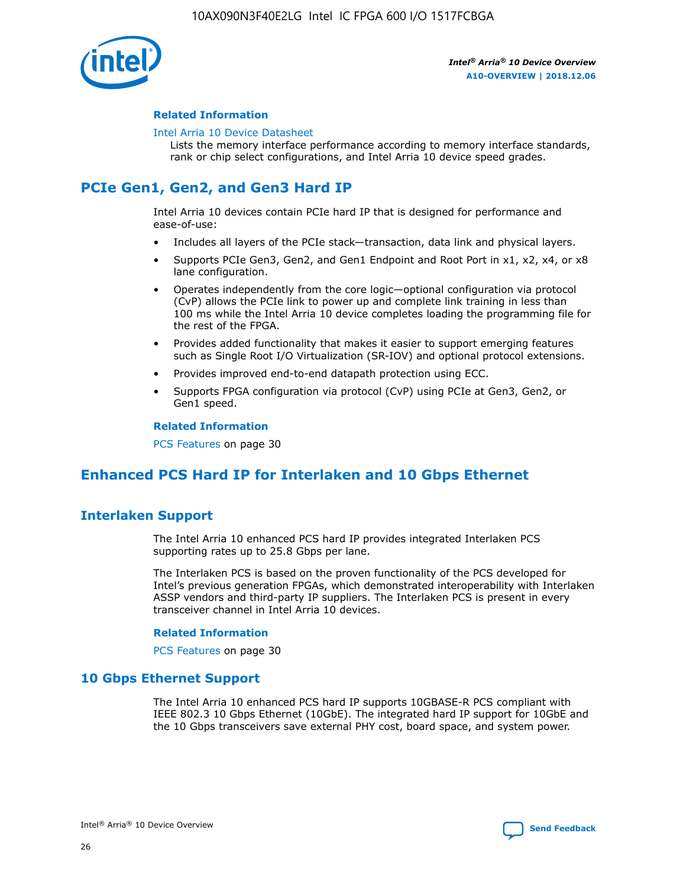

#### **Related Information**

#### [Intel Arria 10 Device Datasheet](https://www.intel.com/content/www/us/en/programmable/documentation/mcn1413182292568.html#mcn1413182153340)

Lists the memory interface performance according to memory interface standards, rank or chip select configurations, and Intel Arria 10 device speed grades.

# **PCIe Gen1, Gen2, and Gen3 Hard IP**

Intel Arria 10 devices contain PCIe hard IP that is designed for performance and ease-of-use:

- Includes all layers of the PCIe stack—transaction, data link and physical layers.
- Supports PCIe Gen3, Gen2, and Gen1 Endpoint and Root Port in x1, x2, x4, or x8 lane configuration.
- Operates independently from the core logic—optional configuration via protocol (CvP) allows the PCIe link to power up and complete link training in less than 100 ms while the Intel Arria 10 device completes loading the programming file for the rest of the FPGA.
- Provides added functionality that makes it easier to support emerging features such as Single Root I/O Virtualization (SR-IOV) and optional protocol extensions.
- Provides improved end-to-end datapath protection using ECC.
- Supports FPGA configuration via protocol (CvP) using PCIe at Gen3, Gen2, or Gen1 speed.

#### **Related Information**

PCS Features on page 30

# **Enhanced PCS Hard IP for Interlaken and 10 Gbps Ethernet**

# **Interlaken Support**

The Intel Arria 10 enhanced PCS hard IP provides integrated Interlaken PCS supporting rates up to 25.8 Gbps per lane.

The Interlaken PCS is based on the proven functionality of the PCS developed for Intel's previous generation FPGAs, which demonstrated interoperability with Interlaken ASSP vendors and third-party IP suppliers. The Interlaken PCS is present in every transceiver channel in Intel Arria 10 devices.

#### **Related Information**

PCS Features on page 30

# **10 Gbps Ethernet Support**

The Intel Arria 10 enhanced PCS hard IP supports 10GBASE-R PCS compliant with IEEE 802.3 10 Gbps Ethernet (10GbE). The integrated hard IP support for 10GbE and the 10 Gbps transceivers save external PHY cost, board space, and system power.

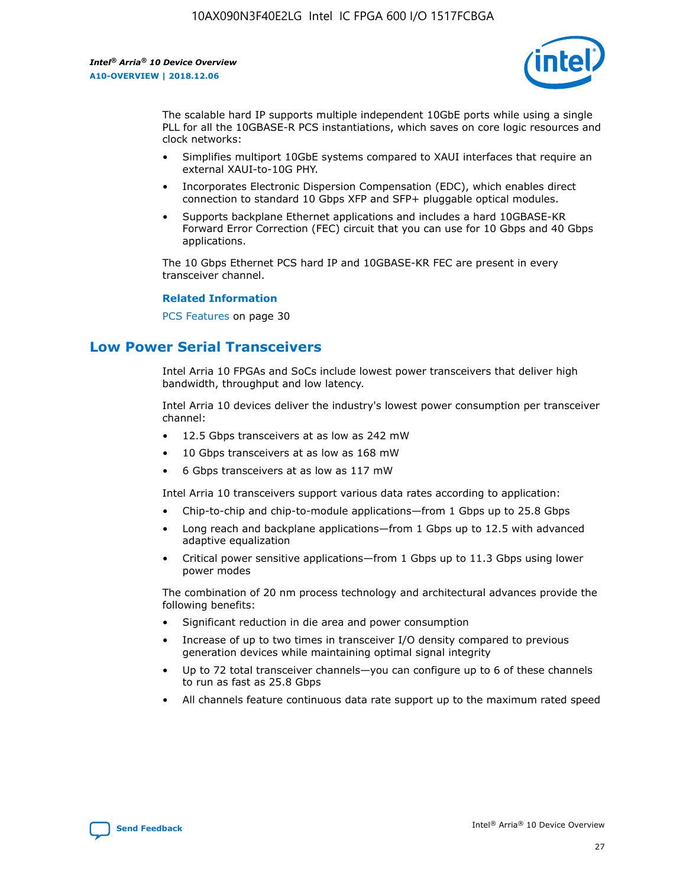

The scalable hard IP supports multiple independent 10GbE ports while using a single PLL for all the 10GBASE-R PCS instantiations, which saves on core logic resources and clock networks:

- Simplifies multiport 10GbE systems compared to XAUI interfaces that require an external XAUI-to-10G PHY.
- Incorporates Electronic Dispersion Compensation (EDC), which enables direct connection to standard 10 Gbps XFP and SFP+ pluggable optical modules.
- Supports backplane Ethernet applications and includes a hard 10GBASE-KR Forward Error Correction (FEC) circuit that you can use for 10 Gbps and 40 Gbps applications.

The 10 Gbps Ethernet PCS hard IP and 10GBASE-KR FEC are present in every transceiver channel.

#### **Related Information**

PCS Features on page 30

# **Low Power Serial Transceivers**

Intel Arria 10 FPGAs and SoCs include lowest power transceivers that deliver high bandwidth, throughput and low latency.

Intel Arria 10 devices deliver the industry's lowest power consumption per transceiver channel:

- 12.5 Gbps transceivers at as low as 242 mW
- 10 Gbps transceivers at as low as 168 mW
- 6 Gbps transceivers at as low as 117 mW

Intel Arria 10 transceivers support various data rates according to application:

- Chip-to-chip and chip-to-module applications—from 1 Gbps up to 25.8 Gbps
- Long reach and backplane applications—from 1 Gbps up to 12.5 with advanced adaptive equalization
- Critical power sensitive applications—from 1 Gbps up to 11.3 Gbps using lower power modes

The combination of 20 nm process technology and architectural advances provide the following benefits:

- Significant reduction in die area and power consumption
- Increase of up to two times in transceiver I/O density compared to previous generation devices while maintaining optimal signal integrity
- Up to 72 total transceiver channels—you can configure up to 6 of these channels to run as fast as 25.8 Gbps
- All channels feature continuous data rate support up to the maximum rated speed

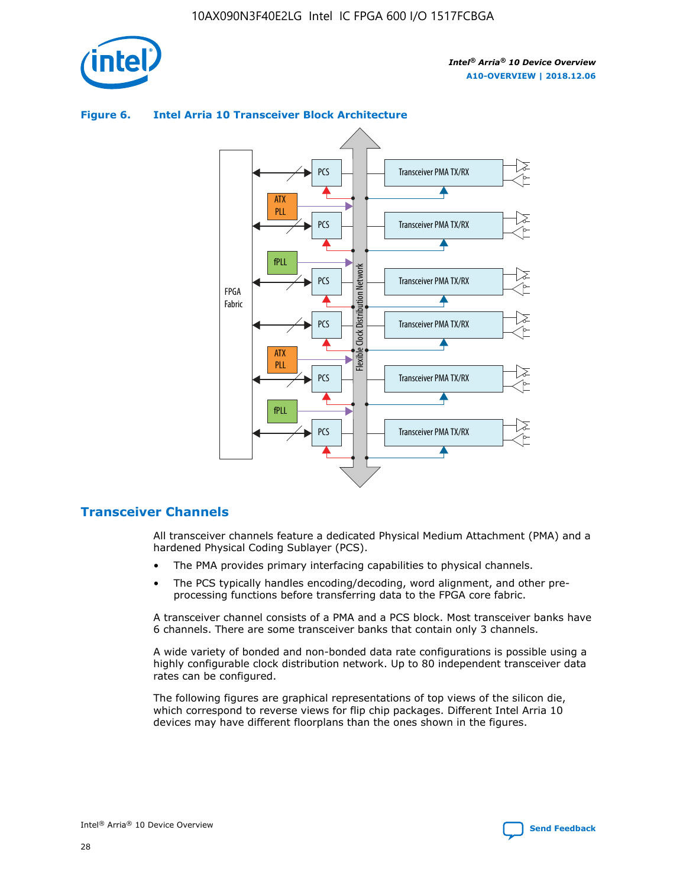

# Transceiver PMA TX/RX PCS ATX PLL Transceiver PMA TX/RX PCS fPLL Network Flexible Clock Distribution Network PCS Transceiver PMA TX/RX FPGA **Clock Distribution** Fabric PCS Transceiver PMA TX/RX ATX Flexible PLL PCS Transceiver PMA TX/RX ▲ fPLL Transceiver PMA TX/RX PCS 4

## **Figure 6. Intel Arria 10 Transceiver Block Architecture**

# **Transceiver Channels**

All transceiver channels feature a dedicated Physical Medium Attachment (PMA) and a hardened Physical Coding Sublayer (PCS).

- The PMA provides primary interfacing capabilities to physical channels.
- The PCS typically handles encoding/decoding, word alignment, and other preprocessing functions before transferring data to the FPGA core fabric.

A transceiver channel consists of a PMA and a PCS block. Most transceiver banks have 6 channels. There are some transceiver banks that contain only 3 channels.

A wide variety of bonded and non-bonded data rate configurations is possible using a highly configurable clock distribution network. Up to 80 independent transceiver data rates can be configured.

The following figures are graphical representations of top views of the silicon die, which correspond to reverse views for flip chip packages. Different Intel Arria 10 devices may have different floorplans than the ones shown in the figures.

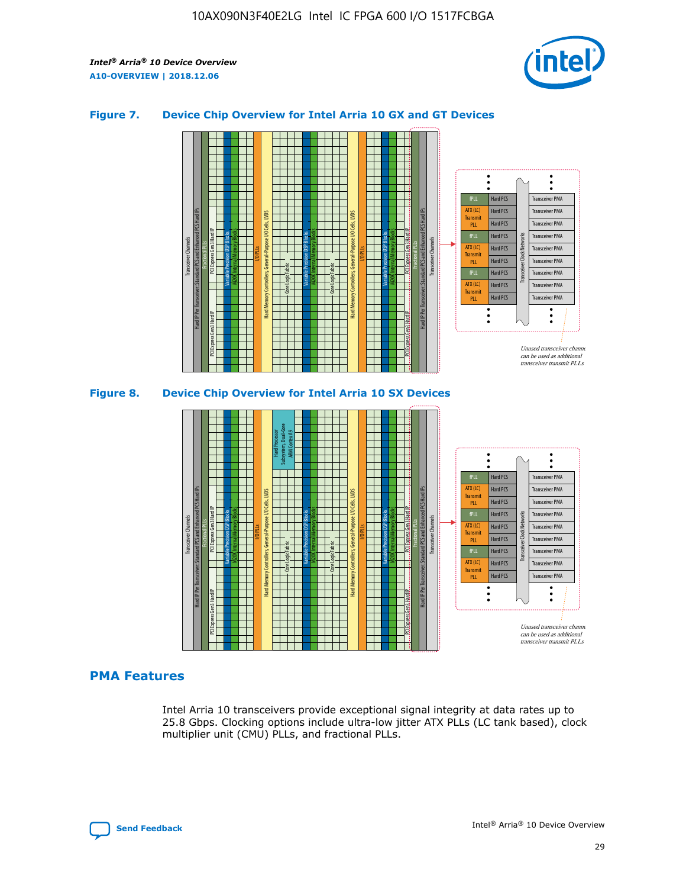

## **Figure 7. Device Chip Overview for Intel Arria 10 GX and GT Devices**





# **PMA Features**

Intel Arria 10 transceivers provide exceptional signal integrity at data rates up to 25.8 Gbps. Clocking options include ultra-low jitter ATX PLLs (LC tank based), clock multiplier unit (CMU) PLLs, and fractional PLLs.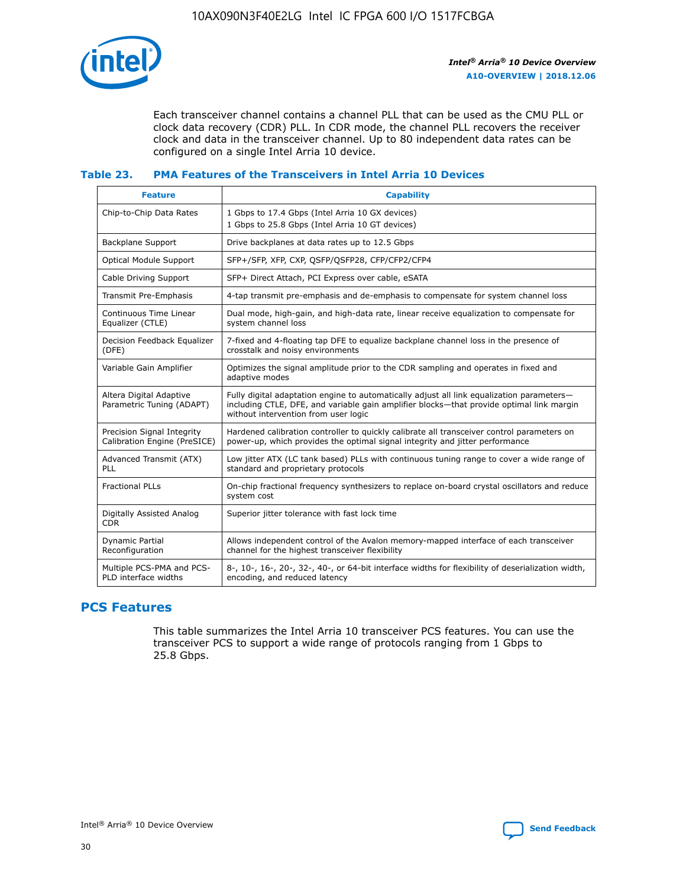

Each transceiver channel contains a channel PLL that can be used as the CMU PLL or clock data recovery (CDR) PLL. In CDR mode, the channel PLL recovers the receiver clock and data in the transceiver channel. Up to 80 independent data rates can be configured on a single Intel Arria 10 device.

## **Table 23. PMA Features of the Transceivers in Intel Arria 10 Devices**

| <b>Feature</b>                                             | <b>Capability</b>                                                                                                                                                                                                             |
|------------------------------------------------------------|-------------------------------------------------------------------------------------------------------------------------------------------------------------------------------------------------------------------------------|
| Chip-to-Chip Data Rates                                    | 1 Gbps to 17.4 Gbps (Intel Arria 10 GX devices)<br>1 Gbps to 25.8 Gbps (Intel Arria 10 GT devices)                                                                                                                            |
| <b>Backplane Support</b>                                   | Drive backplanes at data rates up to 12.5 Gbps                                                                                                                                                                                |
| <b>Optical Module Support</b>                              | SFP+/SFP, XFP, CXP, QSFP/QSFP28, CFP/CFP2/CFP4                                                                                                                                                                                |
| Cable Driving Support                                      | SFP+ Direct Attach, PCI Express over cable, eSATA                                                                                                                                                                             |
| Transmit Pre-Emphasis                                      | 4-tap transmit pre-emphasis and de-emphasis to compensate for system channel loss                                                                                                                                             |
| Continuous Time Linear<br>Equalizer (CTLE)                 | Dual mode, high-gain, and high-data rate, linear receive equalization to compensate for<br>system channel loss                                                                                                                |
| Decision Feedback Equalizer<br>(DFE)                       | 7-fixed and 4-floating tap DFE to equalize backplane channel loss in the presence of<br>crosstalk and noisy environments                                                                                                      |
| Variable Gain Amplifier                                    | Optimizes the signal amplitude prior to the CDR sampling and operates in fixed and<br>adaptive modes                                                                                                                          |
| Altera Digital Adaptive<br>Parametric Tuning (ADAPT)       | Fully digital adaptation engine to automatically adjust all link equalization parameters-<br>including CTLE, DFE, and variable gain amplifier blocks-that provide optimal link margin<br>without intervention from user logic |
| Precision Signal Integrity<br>Calibration Engine (PreSICE) | Hardened calibration controller to quickly calibrate all transceiver control parameters on<br>power-up, which provides the optimal signal integrity and jitter performance                                                    |
| Advanced Transmit (ATX)<br>PLL                             | Low jitter ATX (LC tank based) PLLs with continuous tuning range to cover a wide range of<br>standard and proprietary protocols                                                                                               |
| <b>Fractional PLLs</b>                                     | On-chip fractional frequency synthesizers to replace on-board crystal oscillators and reduce<br>system cost                                                                                                                   |
| Digitally Assisted Analog<br><b>CDR</b>                    | Superior jitter tolerance with fast lock time                                                                                                                                                                                 |
| <b>Dynamic Partial</b><br>Reconfiguration                  | Allows independent control of the Avalon memory-mapped interface of each transceiver<br>channel for the highest transceiver flexibility                                                                                       |
| Multiple PCS-PMA and PCS-<br>PLD interface widths          | 8-, 10-, 16-, 20-, 32-, 40-, or 64-bit interface widths for flexibility of deserialization width,<br>encoding, and reduced latency                                                                                            |

# **PCS Features**

This table summarizes the Intel Arria 10 transceiver PCS features. You can use the transceiver PCS to support a wide range of protocols ranging from 1 Gbps to 25.8 Gbps.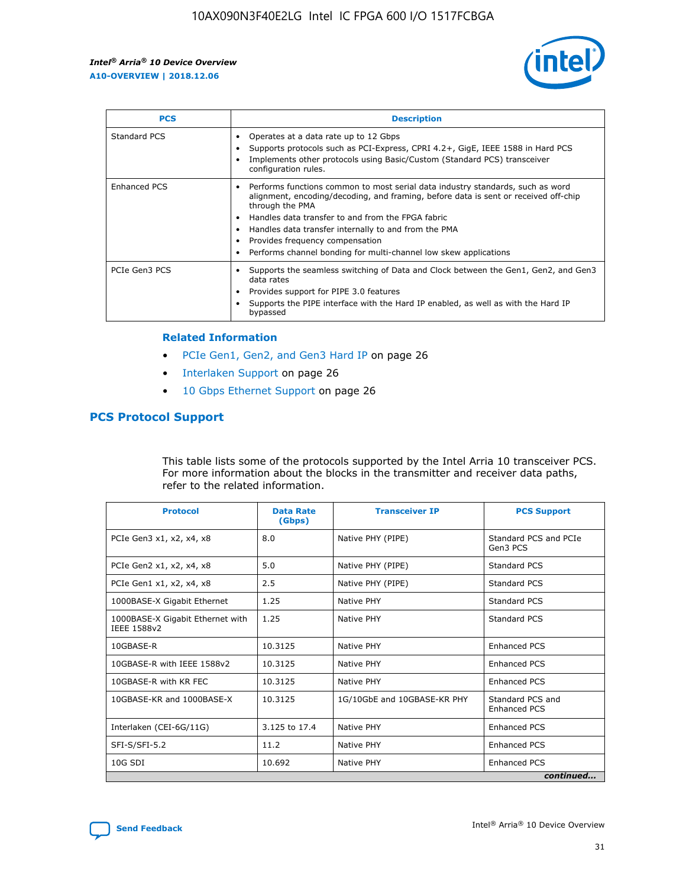

| <b>PCS</b>    | <b>Description</b>                                                                                                                                                                                                                                                                                                                                                                                             |
|---------------|----------------------------------------------------------------------------------------------------------------------------------------------------------------------------------------------------------------------------------------------------------------------------------------------------------------------------------------------------------------------------------------------------------------|
| Standard PCS  | Operates at a data rate up to 12 Gbps<br>Supports protocols such as PCI-Express, CPRI 4.2+, GigE, IEEE 1588 in Hard PCS<br>Implements other protocols using Basic/Custom (Standard PCS) transceiver<br>configuration rules.                                                                                                                                                                                    |
| Enhanced PCS  | Performs functions common to most serial data industry standards, such as word<br>alignment, encoding/decoding, and framing, before data is sent or received off-chip<br>through the PMA<br>• Handles data transfer to and from the FPGA fabric<br>Handles data transfer internally to and from the PMA<br>Provides frequency compensation<br>Performs channel bonding for multi-channel low skew applications |
| PCIe Gen3 PCS | Supports the seamless switching of Data and Clock between the Gen1, Gen2, and Gen3<br>data rates<br>Provides support for PIPE 3.0 features<br>Supports the PIPE interface with the Hard IP enabled, as well as with the Hard IP<br>bypassed                                                                                                                                                                    |

#### **Related Information**

- PCIe Gen1, Gen2, and Gen3 Hard IP on page 26
- Interlaken Support on page 26
- 10 Gbps Ethernet Support on page 26

# **PCS Protocol Support**

This table lists some of the protocols supported by the Intel Arria 10 transceiver PCS. For more information about the blocks in the transmitter and receiver data paths, refer to the related information.

| <b>Protocol</b>                                 | <b>Data Rate</b><br>(Gbps) | <b>Transceiver IP</b>       | <b>PCS Support</b>                      |
|-------------------------------------------------|----------------------------|-----------------------------|-----------------------------------------|
| PCIe Gen3 x1, x2, x4, x8                        | 8.0                        | Native PHY (PIPE)           | Standard PCS and PCIe<br>Gen3 PCS       |
| PCIe Gen2 x1, x2, x4, x8                        | 5.0                        | Native PHY (PIPE)           | <b>Standard PCS</b>                     |
| PCIe Gen1 x1, x2, x4, x8                        | 2.5                        | Native PHY (PIPE)           | Standard PCS                            |
| 1000BASE-X Gigabit Ethernet                     | 1.25                       | Native PHY                  | <b>Standard PCS</b>                     |
| 1000BASE-X Gigabit Ethernet with<br>IEEE 1588v2 | 1.25                       | Native PHY                  | Standard PCS                            |
| 10GBASE-R                                       | 10.3125                    | Native PHY                  | <b>Enhanced PCS</b>                     |
| 10GBASE-R with IEEE 1588v2                      | 10.3125                    | Native PHY                  | <b>Enhanced PCS</b>                     |
| 10GBASE-R with KR FEC                           | 10.3125                    | Native PHY                  | <b>Enhanced PCS</b>                     |
| 10GBASE-KR and 1000BASE-X                       | 10.3125                    | 1G/10GbE and 10GBASE-KR PHY | Standard PCS and<br><b>Enhanced PCS</b> |
| Interlaken (CEI-6G/11G)                         | 3.125 to 17.4              | Native PHY                  | <b>Enhanced PCS</b>                     |
| SFI-S/SFI-5.2                                   | 11.2                       | Native PHY                  | <b>Enhanced PCS</b>                     |
| $10G$ SDI                                       | 10.692                     | Native PHY                  | <b>Enhanced PCS</b>                     |
|                                                 |                            |                             | continued                               |

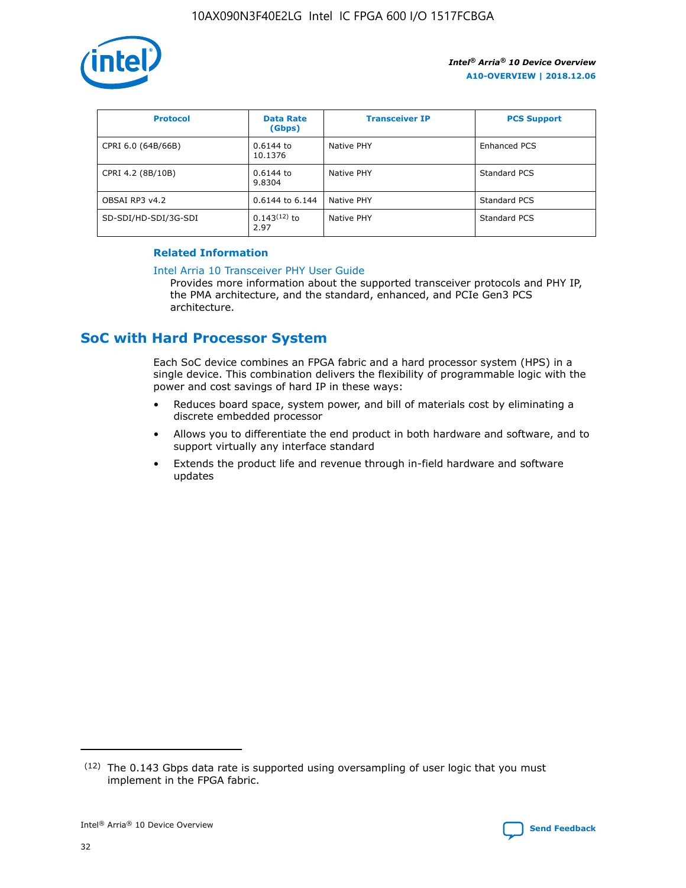

| <b>Protocol</b>      | <b>Data Rate</b><br>(Gbps) | <b>Transceiver IP</b> | <b>PCS Support</b> |
|----------------------|----------------------------|-----------------------|--------------------|
| CPRI 6.0 (64B/66B)   | 0.6144 to<br>10.1376       | Native PHY            | Enhanced PCS       |
| CPRI 4.2 (8B/10B)    | 0.6144 to<br>9.8304        | Native PHY            | Standard PCS       |
| OBSAI RP3 v4.2       | 0.6144 to 6.144            | Native PHY            | Standard PCS       |
| SD-SDI/HD-SDI/3G-SDI | $0.143(12)$ to<br>2.97     | Native PHY            | Standard PCS       |

## **Related Information**

#### [Intel Arria 10 Transceiver PHY User Guide](https://www.intel.com/content/www/us/en/programmable/documentation/nik1398707230472.html#nik1398707091164)

Provides more information about the supported transceiver protocols and PHY IP, the PMA architecture, and the standard, enhanced, and PCIe Gen3 PCS architecture.

# **SoC with Hard Processor System**

Each SoC device combines an FPGA fabric and a hard processor system (HPS) in a single device. This combination delivers the flexibility of programmable logic with the power and cost savings of hard IP in these ways:

- Reduces board space, system power, and bill of materials cost by eliminating a discrete embedded processor
- Allows you to differentiate the end product in both hardware and software, and to support virtually any interface standard
- Extends the product life and revenue through in-field hardware and software updates

<sup>(12)</sup> The 0.143 Gbps data rate is supported using oversampling of user logic that you must implement in the FPGA fabric.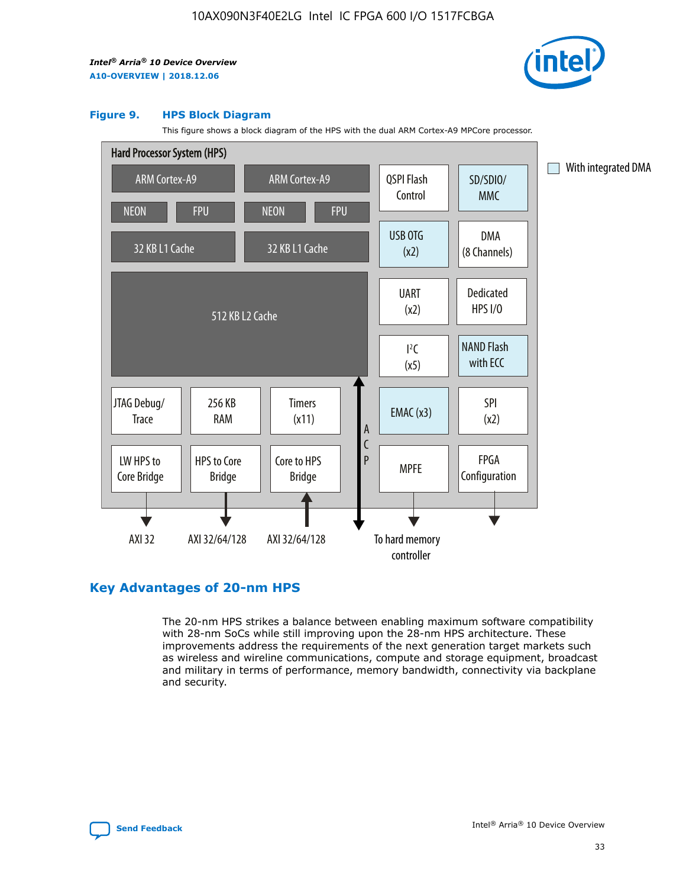

#### **Figure 9. HPS Block Diagram**

This figure shows a block diagram of the HPS with the dual ARM Cortex-A9 MPCore processor.



# **Key Advantages of 20-nm HPS**

The 20-nm HPS strikes a balance between enabling maximum software compatibility with 28-nm SoCs while still improving upon the 28-nm HPS architecture. These improvements address the requirements of the next generation target markets such as wireless and wireline communications, compute and storage equipment, broadcast and military in terms of performance, memory bandwidth, connectivity via backplane and security.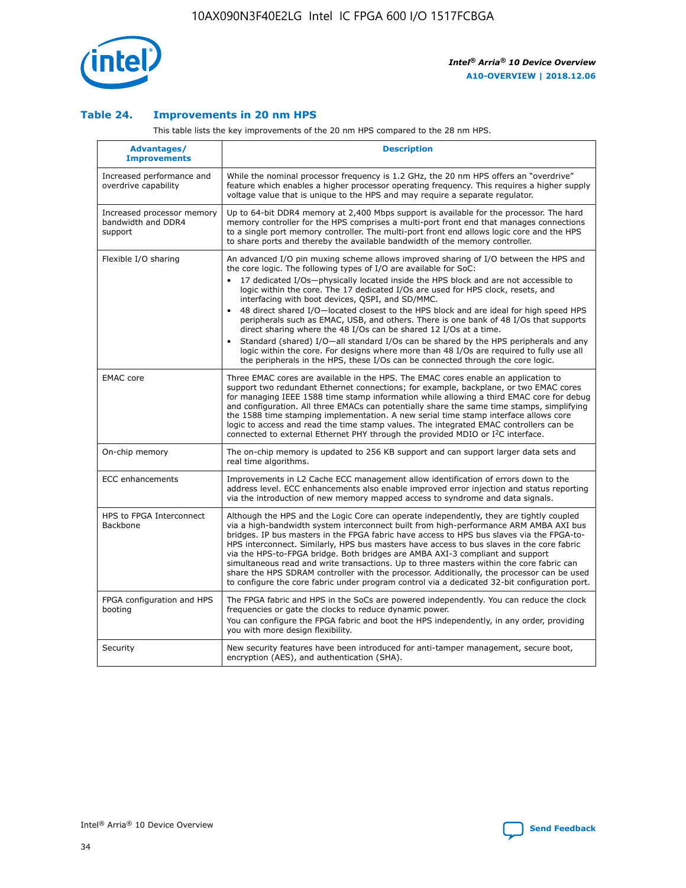

## **Table 24. Improvements in 20 nm HPS**

This table lists the key improvements of the 20 nm HPS compared to the 28 nm HPS.

| Advantages/<br><b>Improvements</b>                          | <b>Description</b>                                                                                                                                                                                                                                                                                                                                                                                                                                                                                                                                                                                                                                                                                                                                     |
|-------------------------------------------------------------|--------------------------------------------------------------------------------------------------------------------------------------------------------------------------------------------------------------------------------------------------------------------------------------------------------------------------------------------------------------------------------------------------------------------------------------------------------------------------------------------------------------------------------------------------------------------------------------------------------------------------------------------------------------------------------------------------------------------------------------------------------|
| Increased performance and<br>overdrive capability           | While the nominal processor frequency is 1.2 GHz, the 20 nm HPS offers an "overdrive"<br>feature which enables a higher processor operating frequency. This requires a higher supply<br>voltage value that is unique to the HPS and may require a separate regulator.                                                                                                                                                                                                                                                                                                                                                                                                                                                                                  |
| Increased processor memory<br>bandwidth and DDR4<br>support | Up to 64-bit DDR4 memory at 2,400 Mbps support is available for the processor. The hard<br>memory controller for the HPS comprises a multi-port front end that manages connections<br>to a single port memory controller. The multi-port front end allows logic core and the HPS<br>to share ports and thereby the available bandwidth of the memory controller.                                                                                                                                                                                                                                                                                                                                                                                       |
| Flexible I/O sharing                                        | An advanced I/O pin muxing scheme allows improved sharing of I/O between the HPS and<br>the core logic. The following types of I/O are available for SoC:<br>17 dedicated I/Os-physically located inside the HPS block and are not accessible to<br>logic within the core. The 17 dedicated I/Os are used for HPS clock, resets, and<br>interfacing with boot devices, QSPI, and SD/MMC.<br>48 direct shared I/O-located closest to the HPS block and are ideal for high speed HPS<br>$\bullet$<br>peripherals such as EMAC, USB, and others. There is one bank of 48 I/Os that supports<br>direct sharing where the 48 I/Os can be shared 12 I/Os at a time.                                                                                          |
|                                                             | Standard (shared) I/O-all standard I/Os can be shared by the HPS peripherals and any<br>logic within the core. For designs where more than 48 I/Os are required to fully use all<br>the peripherals in the HPS, these I/Os can be connected through the core logic.                                                                                                                                                                                                                                                                                                                                                                                                                                                                                    |
| <b>EMAC</b> core                                            | Three EMAC cores are available in the HPS. The EMAC cores enable an application to<br>support two redundant Ethernet connections; for example, backplane, or two EMAC cores<br>for managing IEEE 1588 time stamp information while allowing a third EMAC core for debug<br>and configuration. All three EMACs can potentially share the same time stamps, simplifying<br>the 1588 time stamping implementation. A new serial time stamp interface allows core<br>logic to access and read the time stamp values. The integrated EMAC controllers can be<br>connected to external Ethernet PHY through the provided MDIO or I <sup>2</sup> C interface.                                                                                                 |
| On-chip memory                                              | The on-chip memory is updated to 256 KB support and can support larger data sets and<br>real time algorithms.                                                                                                                                                                                                                                                                                                                                                                                                                                                                                                                                                                                                                                          |
| <b>ECC</b> enhancements                                     | Improvements in L2 Cache ECC management allow identification of errors down to the<br>address level. ECC enhancements also enable improved error injection and status reporting<br>via the introduction of new memory mapped access to syndrome and data signals.                                                                                                                                                                                                                                                                                                                                                                                                                                                                                      |
| HPS to FPGA Interconnect<br><b>Backbone</b>                 | Although the HPS and the Logic Core can operate independently, they are tightly coupled<br>via a high-bandwidth system interconnect built from high-performance ARM AMBA AXI bus<br>bridges. IP bus masters in the FPGA fabric have access to HPS bus slaves via the FPGA-to-<br>HPS interconnect. Similarly, HPS bus masters have access to bus slaves in the core fabric<br>via the HPS-to-FPGA bridge. Both bridges are AMBA AXI-3 compliant and support<br>simultaneous read and write transactions. Up to three masters within the core fabric can<br>share the HPS SDRAM controller with the processor. Additionally, the processor can be used<br>to configure the core fabric under program control via a dedicated 32-bit configuration port. |
| FPGA configuration and HPS<br>booting                       | The FPGA fabric and HPS in the SoCs are powered independently. You can reduce the clock<br>frequencies or gate the clocks to reduce dynamic power.<br>You can configure the FPGA fabric and boot the HPS independently, in any order, providing<br>you with more design flexibility.                                                                                                                                                                                                                                                                                                                                                                                                                                                                   |
| Security                                                    | New security features have been introduced for anti-tamper management, secure boot,<br>encryption (AES), and authentication (SHA).                                                                                                                                                                                                                                                                                                                                                                                                                                                                                                                                                                                                                     |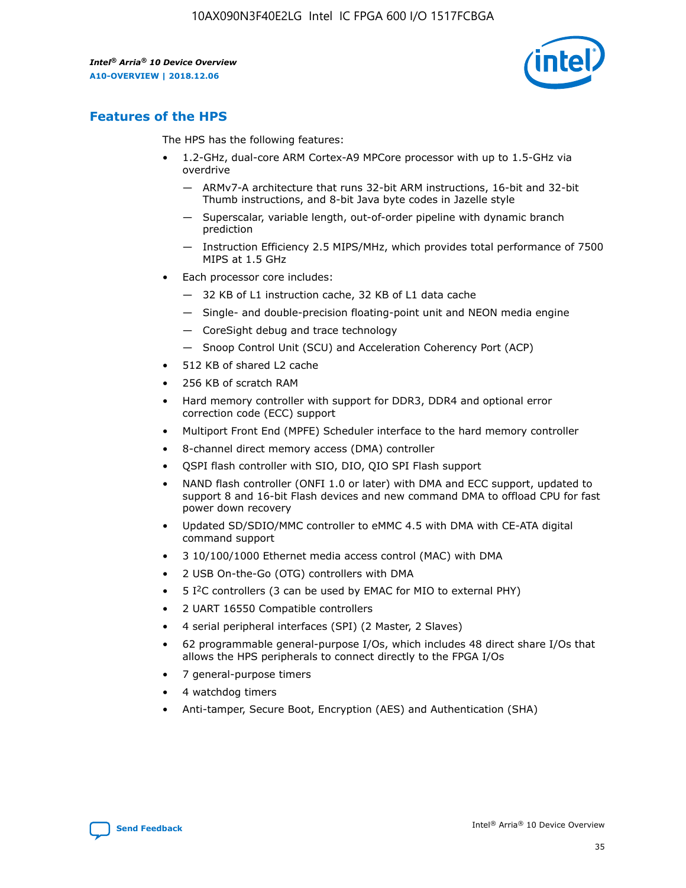

# **Features of the HPS**

The HPS has the following features:

- 1.2-GHz, dual-core ARM Cortex-A9 MPCore processor with up to 1.5-GHz via overdrive
	- ARMv7-A architecture that runs 32-bit ARM instructions, 16-bit and 32-bit Thumb instructions, and 8-bit Java byte codes in Jazelle style
	- Superscalar, variable length, out-of-order pipeline with dynamic branch prediction
	- Instruction Efficiency 2.5 MIPS/MHz, which provides total performance of 7500 MIPS at 1.5 GHz
- Each processor core includes:
	- 32 KB of L1 instruction cache, 32 KB of L1 data cache
	- Single- and double-precision floating-point unit and NEON media engine
	- CoreSight debug and trace technology
	- Snoop Control Unit (SCU) and Acceleration Coherency Port (ACP)
- 512 KB of shared L2 cache
- 256 KB of scratch RAM
- Hard memory controller with support for DDR3, DDR4 and optional error correction code (ECC) support
- Multiport Front End (MPFE) Scheduler interface to the hard memory controller
- 8-channel direct memory access (DMA) controller
- QSPI flash controller with SIO, DIO, QIO SPI Flash support
- NAND flash controller (ONFI 1.0 or later) with DMA and ECC support, updated to support 8 and 16-bit Flash devices and new command DMA to offload CPU for fast power down recovery
- Updated SD/SDIO/MMC controller to eMMC 4.5 with DMA with CE-ATA digital command support
- 3 10/100/1000 Ethernet media access control (MAC) with DMA
- 2 USB On-the-Go (OTG) controllers with DMA
- $\bullet$  5 I<sup>2</sup>C controllers (3 can be used by EMAC for MIO to external PHY)
- 2 UART 16550 Compatible controllers
- 4 serial peripheral interfaces (SPI) (2 Master, 2 Slaves)
- 62 programmable general-purpose I/Os, which includes 48 direct share I/Os that allows the HPS peripherals to connect directly to the FPGA I/Os
- 7 general-purpose timers
- 4 watchdog timers
- Anti-tamper, Secure Boot, Encryption (AES) and Authentication (SHA)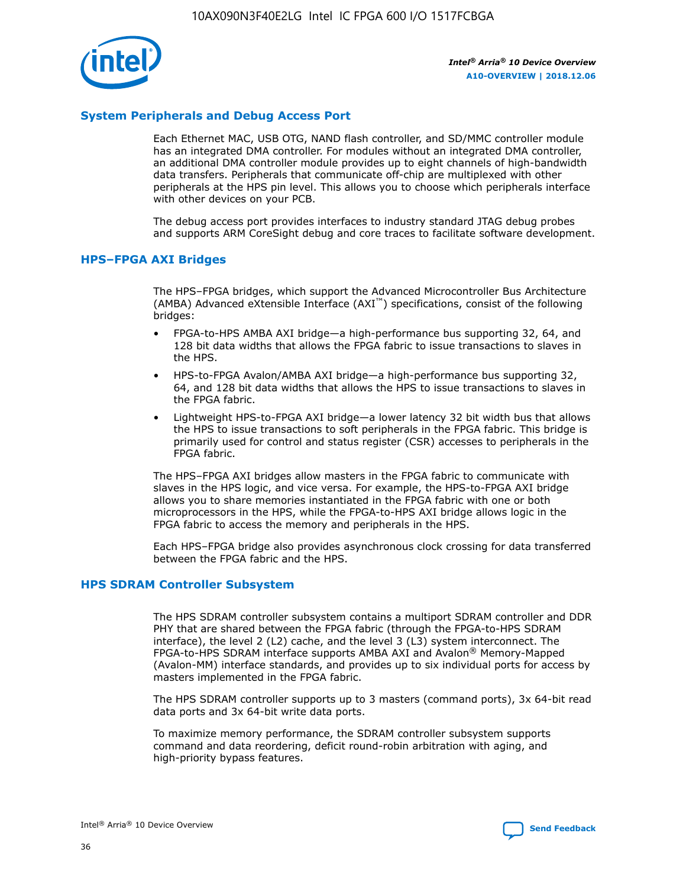

# **System Peripherals and Debug Access Port**

Each Ethernet MAC, USB OTG, NAND flash controller, and SD/MMC controller module has an integrated DMA controller. For modules without an integrated DMA controller, an additional DMA controller module provides up to eight channels of high-bandwidth data transfers. Peripherals that communicate off-chip are multiplexed with other peripherals at the HPS pin level. This allows you to choose which peripherals interface with other devices on your PCB.

The debug access port provides interfaces to industry standard JTAG debug probes and supports ARM CoreSight debug and core traces to facilitate software development.

## **HPS–FPGA AXI Bridges**

The HPS–FPGA bridges, which support the Advanced Microcontroller Bus Architecture (AMBA) Advanced eXtensible Interface (AXI™) specifications, consist of the following bridges:

- FPGA-to-HPS AMBA AXI bridge—a high-performance bus supporting 32, 64, and 128 bit data widths that allows the FPGA fabric to issue transactions to slaves in the HPS.
- HPS-to-FPGA Avalon/AMBA AXI bridge—a high-performance bus supporting 32, 64, and 128 bit data widths that allows the HPS to issue transactions to slaves in the FPGA fabric.
- Lightweight HPS-to-FPGA AXI bridge—a lower latency 32 bit width bus that allows the HPS to issue transactions to soft peripherals in the FPGA fabric. This bridge is primarily used for control and status register (CSR) accesses to peripherals in the FPGA fabric.

The HPS–FPGA AXI bridges allow masters in the FPGA fabric to communicate with slaves in the HPS logic, and vice versa. For example, the HPS-to-FPGA AXI bridge allows you to share memories instantiated in the FPGA fabric with one or both microprocessors in the HPS, while the FPGA-to-HPS AXI bridge allows logic in the FPGA fabric to access the memory and peripherals in the HPS.

Each HPS–FPGA bridge also provides asynchronous clock crossing for data transferred between the FPGA fabric and the HPS.

#### **HPS SDRAM Controller Subsystem**

The HPS SDRAM controller subsystem contains a multiport SDRAM controller and DDR PHY that are shared between the FPGA fabric (through the FPGA-to-HPS SDRAM interface), the level 2 (L2) cache, and the level 3 (L3) system interconnect. The FPGA-to-HPS SDRAM interface supports AMBA AXI and Avalon® Memory-Mapped (Avalon-MM) interface standards, and provides up to six individual ports for access by masters implemented in the FPGA fabric.

The HPS SDRAM controller supports up to 3 masters (command ports), 3x 64-bit read data ports and 3x 64-bit write data ports.

To maximize memory performance, the SDRAM controller subsystem supports command and data reordering, deficit round-robin arbitration with aging, and high-priority bypass features.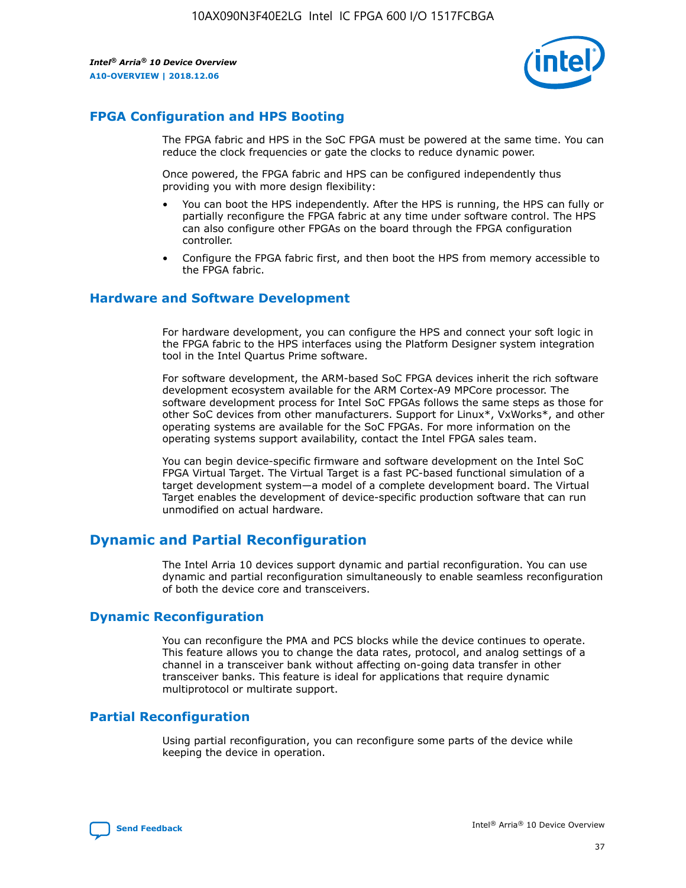

# **FPGA Configuration and HPS Booting**

The FPGA fabric and HPS in the SoC FPGA must be powered at the same time. You can reduce the clock frequencies or gate the clocks to reduce dynamic power.

Once powered, the FPGA fabric and HPS can be configured independently thus providing you with more design flexibility:

- You can boot the HPS independently. After the HPS is running, the HPS can fully or partially reconfigure the FPGA fabric at any time under software control. The HPS can also configure other FPGAs on the board through the FPGA configuration controller.
- Configure the FPGA fabric first, and then boot the HPS from memory accessible to the FPGA fabric.

## **Hardware and Software Development**

For hardware development, you can configure the HPS and connect your soft logic in the FPGA fabric to the HPS interfaces using the Platform Designer system integration tool in the Intel Quartus Prime software.

For software development, the ARM-based SoC FPGA devices inherit the rich software development ecosystem available for the ARM Cortex-A9 MPCore processor. The software development process for Intel SoC FPGAs follows the same steps as those for other SoC devices from other manufacturers. Support for Linux\*, VxWorks\*, and other operating systems are available for the SoC FPGAs. For more information on the operating systems support availability, contact the Intel FPGA sales team.

You can begin device-specific firmware and software development on the Intel SoC FPGA Virtual Target. The Virtual Target is a fast PC-based functional simulation of a target development system—a model of a complete development board. The Virtual Target enables the development of device-specific production software that can run unmodified on actual hardware.

# **Dynamic and Partial Reconfiguration**

The Intel Arria 10 devices support dynamic and partial reconfiguration. You can use dynamic and partial reconfiguration simultaneously to enable seamless reconfiguration of both the device core and transceivers.

# **Dynamic Reconfiguration**

You can reconfigure the PMA and PCS blocks while the device continues to operate. This feature allows you to change the data rates, protocol, and analog settings of a channel in a transceiver bank without affecting on-going data transfer in other transceiver banks. This feature is ideal for applications that require dynamic multiprotocol or multirate support.

# **Partial Reconfiguration**

Using partial reconfiguration, you can reconfigure some parts of the device while keeping the device in operation.

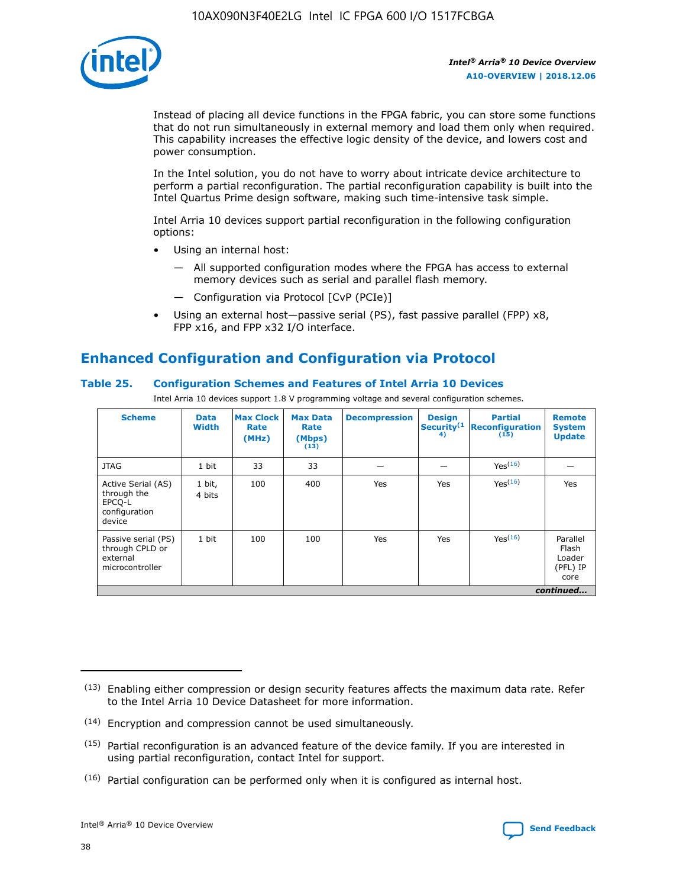

Instead of placing all device functions in the FPGA fabric, you can store some functions that do not run simultaneously in external memory and load them only when required. This capability increases the effective logic density of the device, and lowers cost and power consumption.

In the Intel solution, you do not have to worry about intricate device architecture to perform a partial reconfiguration. The partial reconfiguration capability is built into the Intel Quartus Prime design software, making such time-intensive task simple.

Intel Arria 10 devices support partial reconfiguration in the following configuration options:

- Using an internal host:
	- All supported configuration modes where the FPGA has access to external memory devices such as serial and parallel flash memory.
	- Configuration via Protocol [CvP (PCIe)]
- Using an external host—passive serial (PS), fast passive parallel (FPP) x8, FPP x16, and FPP x32 I/O interface.

# **Enhanced Configuration and Configuration via Protocol**

# **Table 25. Configuration Schemes and Features of Intel Arria 10 Devices**

Intel Arria 10 devices support 1.8 V programming voltage and several configuration schemes.

| <b>Scheme</b>                                                          | <b>Data</b><br><b>Width</b> | <b>Max Clock</b><br>Rate<br>(MHz) | <b>Max Data</b><br>Rate<br>(Mbps)<br>(13) | <b>Decompression</b> | <b>Design</b><br>Security <sup>(1</sup><br>4) | <b>Partial</b><br><b>Reconfiguration</b><br>(15) | <b>Remote</b><br><b>System</b><br><b>Update</b> |
|------------------------------------------------------------------------|-----------------------------|-----------------------------------|-------------------------------------------|----------------------|-----------------------------------------------|--------------------------------------------------|-------------------------------------------------|
| <b>JTAG</b>                                                            | 1 bit                       | 33                                | 33                                        |                      |                                               | Yes(16)                                          |                                                 |
| Active Serial (AS)<br>through the<br>EPCO-L<br>configuration<br>device | 1 bit,<br>4 bits            | 100                               | 400                                       | Yes                  | Yes                                           | $Y_{PS}(16)$                                     | Yes                                             |
| Passive serial (PS)<br>through CPLD or<br>external<br>microcontroller  | 1 bit                       | 100                               | 100                                       | Yes                  | Yes                                           | Yes(16)                                          | Parallel<br>Flash<br>Loader<br>(PFL) IP<br>core |
|                                                                        |                             |                                   |                                           |                      |                                               |                                                  | continued                                       |

<sup>(13)</sup> Enabling either compression or design security features affects the maximum data rate. Refer to the Intel Arria 10 Device Datasheet for more information.

<sup>(14)</sup> Encryption and compression cannot be used simultaneously.

 $(15)$  Partial reconfiguration is an advanced feature of the device family. If you are interested in using partial reconfiguration, contact Intel for support.

 $(16)$  Partial configuration can be performed only when it is configured as internal host.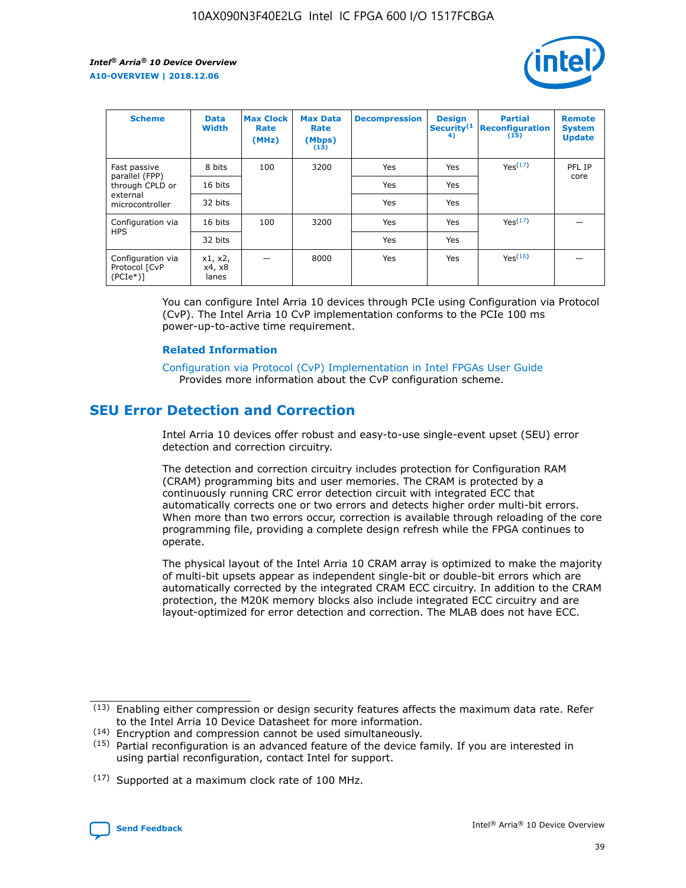

| <b>Scheme</b>                                    | <b>Data</b><br><b>Width</b> | <b>Max Clock</b><br>Rate<br>(MHz) | <b>Max Data</b><br>Rate<br>(Mbps)<br>(13) | <b>Decompression</b> | <b>Design</b><br>Security <sup>(1</sup><br>4) | <b>Partial</b><br><b>Reconfiguration</b><br>(15) | <b>Remote</b><br><b>System</b><br><b>Update</b> |
|--------------------------------------------------|-----------------------------|-----------------------------------|-------------------------------------------|----------------------|-----------------------------------------------|--------------------------------------------------|-------------------------------------------------|
| Fast passive                                     | 8 bits                      | 100                               | 3200                                      | Yes                  | Yes                                           | Yes(17)                                          | PFL IP                                          |
| parallel (FPP)<br>through CPLD or                | 16 bits                     |                                   |                                           | Yes                  | Yes                                           |                                                  | core                                            |
| external<br>microcontroller                      | 32 bits                     |                                   |                                           | <b>Yes</b>           | Yes                                           |                                                  |                                                 |
| Configuration via                                | 16 bits                     | 100                               | 3200                                      | Yes                  | Yes                                           | Yes <sup>(17)</sup>                              |                                                 |
| <b>HPS</b>                                       | 32 bits                     |                                   |                                           | Yes                  | Yes                                           |                                                  |                                                 |
| Configuration via<br>Protocol [CvP<br>$(PCIe^*)$ | x1, x2,<br>x4, x8<br>lanes  |                                   | 8000                                      | Yes                  | Yes                                           | Yes(16)                                          |                                                 |

You can configure Intel Arria 10 devices through PCIe using Configuration via Protocol (CvP). The Intel Arria 10 CvP implementation conforms to the PCIe 100 ms power-up-to-active time requirement.

#### **Related Information**

[Configuration via Protocol \(CvP\) Implementation in Intel FPGAs User Guide](https://www.intel.com/content/www/us/en/programmable/documentation/dsu1441819344145.html#dsu1442269728522) Provides more information about the CvP configuration scheme.

# **SEU Error Detection and Correction**

Intel Arria 10 devices offer robust and easy-to-use single-event upset (SEU) error detection and correction circuitry.

The detection and correction circuitry includes protection for Configuration RAM (CRAM) programming bits and user memories. The CRAM is protected by a continuously running CRC error detection circuit with integrated ECC that automatically corrects one or two errors and detects higher order multi-bit errors. When more than two errors occur, correction is available through reloading of the core programming file, providing a complete design refresh while the FPGA continues to operate.

The physical layout of the Intel Arria 10 CRAM array is optimized to make the majority of multi-bit upsets appear as independent single-bit or double-bit errors which are automatically corrected by the integrated CRAM ECC circuitry. In addition to the CRAM protection, the M20K memory blocks also include integrated ECC circuitry and are layout-optimized for error detection and correction. The MLAB does not have ECC.

(14) Encryption and compression cannot be used simultaneously.

<sup>(17)</sup> Supported at a maximum clock rate of 100 MHz.



 $(13)$  Enabling either compression or design security features affects the maximum data rate. Refer to the Intel Arria 10 Device Datasheet for more information.

 $(15)$  Partial reconfiguration is an advanced feature of the device family. If you are interested in using partial reconfiguration, contact Intel for support.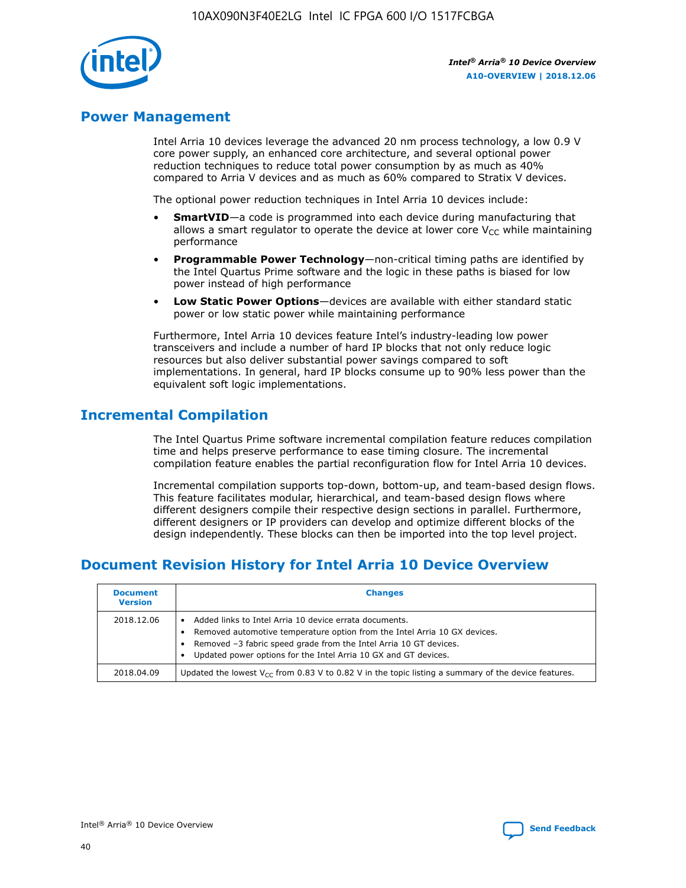

# **Power Management**

Intel Arria 10 devices leverage the advanced 20 nm process technology, a low 0.9 V core power supply, an enhanced core architecture, and several optional power reduction techniques to reduce total power consumption by as much as 40% compared to Arria V devices and as much as 60% compared to Stratix V devices.

The optional power reduction techniques in Intel Arria 10 devices include:

- **SmartVID**—a code is programmed into each device during manufacturing that allows a smart regulator to operate the device at lower core  $V_{CC}$  while maintaining performance
- **Programmable Power Technology**—non-critical timing paths are identified by the Intel Quartus Prime software and the logic in these paths is biased for low power instead of high performance
- **Low Static Power Options**—devices are available with either standard static power or low static power while maintaining performance

Furthermore, Intel Arria 10 devices feature Intel's industry-leading low power transceivers and include a number of hard IP blocks that not only reduce logic resources but also deliver substantial power savings compared to soft implementations. In general, hard IP blocks consume up to 90% less power than the equivalent soft logic implementations.

# **Incremental Compilation**

The Intel Quartus Prime software incremental compilation feature reduces compilation time and helps preserve performance to ease timing closure. The incremental compilation feature enables the partial reconfiguration flow for Intel Arria 10 devices.

Incremental compilation supports top-down, bottom-up, and team-based design flows. This feature facilitates modular, hierarchical, and team-based design flows where different designers compile their respective design sections in parallel. Furthermore, different designers or IP providers can develop and optimize different blocks of the design independently. These blocks can then be imported into the top level project.

# **Document Revision History for Intel Arria 10 Device Overview**

| <b>Document</b><br><b>Version</b> | <b>Changes</b>                                                                                                                                                                                                                                                              |
|-----------------------------------|-----------------------------------------------------------------------------------------------------------------------------------------------------------------------------------------------------------------------------------------------------------------------------|
| 2018.12.06                        | Added links to Intel Arria 10 device errata documents.<br>Removed automotive temperature option from the Intel Arria 10 GX devices.<br>Removed -3 fabric speed grade from the Intel Arria 10 GT devices.<br>Updated power options for the Intel Arria 10 GX and GT devices. |
| 2018.04.09                        | Updated the lowest $V_{CC}$ from 0.83 V to 0.82 V in the topic listing a summary of the device features.                                                                                                                                                                    |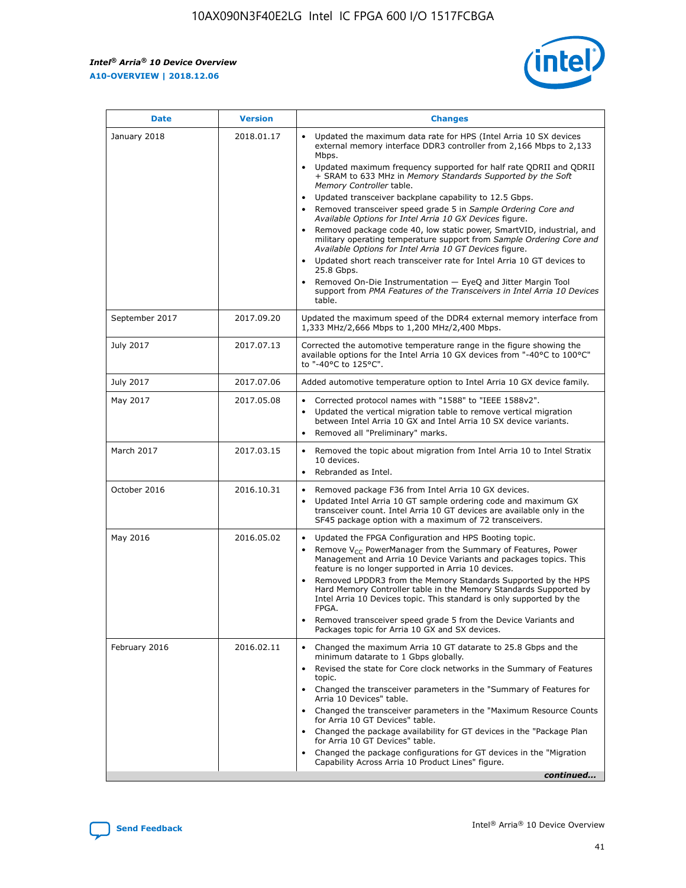

| <b>Date</b>    | <b>Version</b> | <b>Changes</b>                                                                                                                                                                                                                                                                                                                                                                                                                                                                                                                                                                                                                                                                                                                                                                                                                                                                                                                                               |
|----------------|----------------|--------------------------------------------------------------------------------------------------------------------------------------------------------------------------------------------------------------------------------------------------------------------------------------------------------------------------------------------------------------------------------------------------------------------------------------------------------------------------------------------------------------------------------------------------------------------------------------------------------------------------------------------------------------------------------------------------------------------------------------------------------------------------------------------------------------------------------------------------------------------------------------------------------------------------------------------------------------|
| January 2018   | 2018.01.17     | Updated the maximum data rate for HPS (Intel Arria 10 SX devices<br>external memory interface DDR3 controller from 2,166 Mbps to 2,133<br>Mbps.<br>Updated maximum frequency supported for half rate QDRII and QDRII<br>+ SRAM to 633 MHz in Memory Standards Supported by the Soft<br>Memory Controller table.<br>Updated transceiver backplane capability to 12.5 Gbps.<br>Removed transceiver speed grade 5 in Sample Ordering Core and<br>Available Options for Intel Arria 10 GX Devices figure.<br>Removed package code 40, low static power, SmartVID, industrial, and<br>military operating temperature support from Sample Ordering Core and<br>Available Options for Intel Arria 10 GT Devices figure.<br>Updated short reach transceiver rate for Intel Arria 10 GT devices to<br>25.8 Gbps.<br>Removed On-Die Instrumentation - EyeQ and Jitter Margin Tool<br>support from PMA Features of the Transceivers in Intel Arria 10 Devices<br>table. |
| September 2017 | 2017.09.20     | Updated the maximum speed of the DDR4 external memory interface from<br>1,333 MHz/2,666 Mbps to 1,200 MHz/2,400 Mbps.                                                                                                                                                                                                                                                                                                                                                                                                                                                                                                                                                                                                                                                                                                                                                                                                                                        |
| July 2017      | 2017.07.13     | Corrected the automotive temperature range in the figure showing the<br>available options for the Intel Arria 10 GX devices from "-40°C to 100°C"<br>to "-40°C to 125°C".                                                                                                                                                                                                                                                                                                                                                                                                                                                                                                                                                                                                                                                                                                                                                                                    |
| July 2017      | 2017.07.06     | Added automotive temperature option to Intel Arria 10 GX device family.                                                                                                                                                                                                                                                                                                                                                                                                                                                                                                                                                                                                                                                                                                                                                                                                                                                                                      |
| May 2017       | 2017.05.08     | Corrected protocol names with "1588" to "IEEE 1588v2".<br>$\bullet$<br>Updated the vertical migration table to remove vertical migration<br>$\bullet$<br>between Intel Arria 10 GX and Intel Arria 10 SX device variants.<br>Removed all "Preliminary" marks.<br>$\bullet$                                                                                                                                                                                                                                                                                                                                                                                                                                                                                                                                                                                                                                                                                   |
| March 2017     | 2017.03.15     | Removed the topic about migration from Intel Arria 10 to Intel Stratix<br>$\bullet$<br>10 devices.<br>Rebranded as Intel.<br>$\bullet$                                                                                                                                                                                                                                                                                                                                                                                                                                                                                                                                                                                                                                                                                                                                                                                                                       |
| October 2016   | 2016.10.31     | Removed package F36 from Intel Arria 10 GX devices.<br>Updated Intel Arria 10 GT sample ordering code and maximum GX<br>$\bullet$<br>transceiver count. Intel Arria 10 GT devices are available only in the<br>SF45 package option with a maximum of 72 transceivers.                                                                                                                                                                                                                                                                                                                                                                                                                                                                                                                                                                                                                                                                                        |
| May 2016       | 2016.05.02     | Updated the FPGA Configuration and HPS Booting topic.<br>$\bullet$<br>Remove V <sub>CC</sub> PowerManager from the Summary of Features, Power<br>Management and Arria 10 Device Variants and packages topics. This<br>feature is no longer supported in Arria 10 devices.<br>Removed LPDDR3 from the Memory Standards Supported by the HPS<br>Hard Memory Controller table in the Memory Standards Supported by<br>Intel Arria 10 Devices topic. This standard is only supported by the<br><b>FPGA</b><br>Removed transceiver speed grade 5 from the Device Variants and<br>Packages topic for Arria 10 GX and SX devices.                                                                                                                                                                                                                                                                                                                                   |
| February 2016  | 2016.02.11     | Changed the maximum Arria 10 GT datarate to 25.8 Gbps and the<br>$\bullet$<br>minimum datarate to 1 Gbps globally.<br>Revised the state for Core clock networks in the Summary of Features<br>$\bullet$<br>topic.<br>Changed the transceiver parameters in the "Summary of Features for<br>$\bullet$<br>Arria 10 Devices" table.<br>Changed the transceiver parameters in the "Maximum Resource Counts<br>for Arria 10 GT Devices" table.<br>Changed the package availability for GT devices in the "Package Plan<br>for Arria 10 GT Devices" table.<br>Changed the package configurations for GT devices in the "Migration"<br>Capability Across Arria 10 Product Lines" figure.<br>continued                                                                                                                                                                                                                                                               |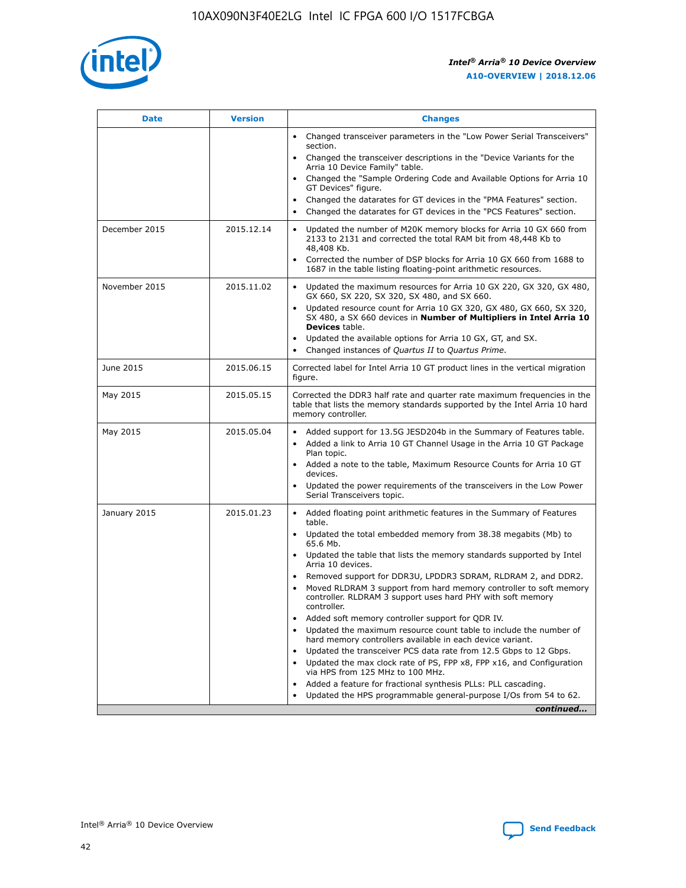

| <b>Date</b>   | <b>Version</b> | <b>Changes</b>                                                                                                                                                               |
|---------------|----------------|------------------------------------------------------------------------------------------------------------------------------------------------------------------------------|
|               |                | • Changed transceiver parameters in the "Low Power Serial Transceivers"<br>section.                                                                                          |
|               |                | • Changed the transceiver descriptions in the "Device Variants for the<br>Arria 10 Device Family" table.                                                                     |
|               |                | Changed the "Sample Ordering Code and Available Options for Arria 10<br>$\bullet$<br>GT Devices" figure.                                                                     |
|               |                | Changed the datarates for GT devices in the "PMA Features" section.                                                                                                          |
|               |                | Changed the datarates for GT devices in the "PCS Features" section.<br>$\bullet$                                                                                             |
| December 2015 | 2015.12.14     | Updated the number of M20K memory blocks for Arria 10 GX 660 from<br>2133 to 2131 and corrected the total RAM bit from 48,448 Kb to<br>48,408 Kb.                            |
|               |                | Corrected the number of DSP blocks for Arria 10 GX 660 from 1688 to<br>1687 in the table listing floating-point arithmetic resources.                                        |
| November 2015 | 2015.11.02     | Updated the maximum resources for Arria 10 GX 220, GX 320, GX 480,<br>$\bullet$<br>GX 660, SX 220, SX 320, SX 480, and SX 660.                                               |
|               |                | • Updated resource count for Arria 10 GX 320, GX 480, GX 660, SX 320,<br>SX 480, a SX 660 devices in Number of Multipliers in Intel Arria 10<br><b>Devices</b> table.        |
|               |                | Updated the available options for Arria 10 GX, GT, and SX.                                                                                                                   |
|               |                | Changed instances of Quartus II to Quartus Prime.<br>$\bullet$                                                                                                               |
| June 2015     | 2015.06.15     | Corrected label for Intel Arria 10 GT product lines in the vertical migration<br>figure.                                                                                     |
| May 2015      | 2015.05.15     | Corrected the DDR3 half rate and quarter rate maximum frequencies in the<br>table that lists the memory standards supported by the Intel Arria 10 hard<br>memory controller. |
| May 2015      | 2015.05.04     | • Added support for 13.5G JESD204b in the Summary of Features table.<br>• Added a link to Arria 10 GT Channel Usage in the Arria 10 GT Package<br>Plan topic.                |
|               |                | • Added a note to the table, Maximum Resource Counts for Arria 10 GT<br>devices.                                                                                             |
|               |                | • Updated the power requirements of the transceivers in the Low Power<br>Serial Transceivers topic.                                                                          |
| January 2015  | 2015.01.23     | • Added floating point arithmetic features in the Summary of Features<br>table.                                                                                              |
|               |                | • Updated the total embedded memory from 38.38 megabits (Mb) to<br>65.6 Mb.                                                                                                  |
|               |                | • Updated the table that lists the memory standards supported by Intel<br>Arria 10 devices.                                                                                  |
|               |                | Removed support for DDR3U, LPDDR3 SDRAM, RLDRAM 2, and DDR2.                                                                                                                 |
|               |                | Moved RLDRAM 3 support from hard memory controller to soft memory<br>controller. RLDRAM 3 support uses hard PHY with soft memory<br>controller.                              |
|               |                | Added soft memory controller support for QDR IV.<br>٠                                                                                                                        |
|               |                | Updated the maximum resource count table to include the number of<br>hard memory controllers available in each device variant.                                               |
|               |                | Updated the transceiver PCS data rate from 12.5 Gbps to 12 Gbps.<br>$\bullet$                                                                                                |
|               |                | Updated the max clock rate of PS, FPP x8, FPP x16, and Configuration<br>via HPS from 125 MHz to 100 MHz.                                                                     |
|               |                | Added a feature for fractional synthesis PLLs: PLL cascading.                                                                                                                |
|               |                | Updated the HPS programmable general-purpose I/Os from 54 to 62.<br>$\bullet$<br>continued                                                                                   |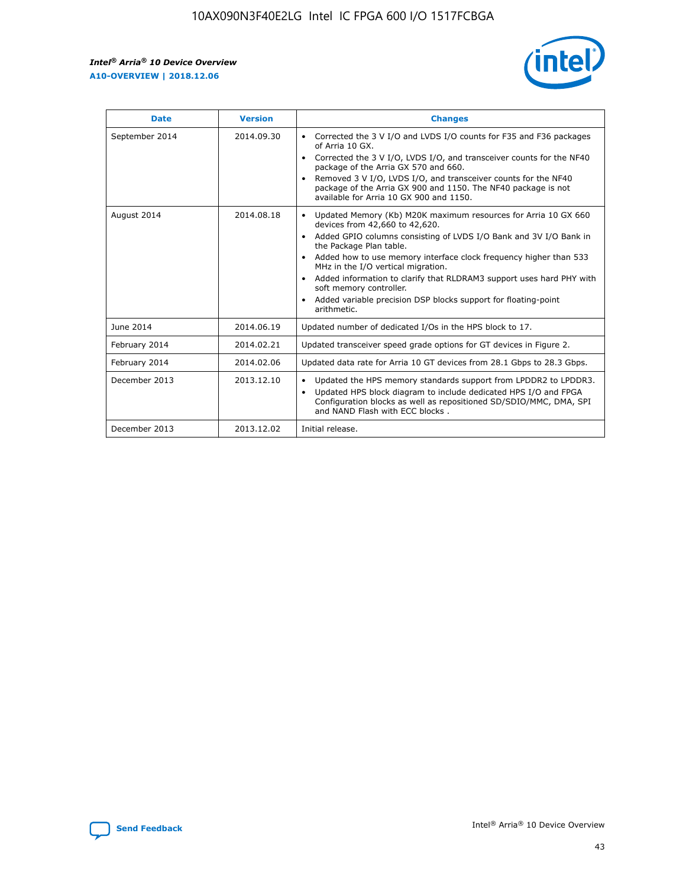r



| <b>Date</b>    | <b>Version</b> | <b>Changes</b>                                                                                                                                                                                                                                                                                                                                                                                                                                                                                                                                      |
|----------------|----------------|-----------------------------------------------------------------------------------------------------------------------------------------------------------------------------------------------------------------------------------------------------------------------------------------------------------------------------------------------------------------------------------------------------------------------------------------------------------------------------------------------------------------------------------------------------|
| September 2014 | 2014.09.30     | Corrected the 3 V I/O and LVDS I/O counts for F35 and F36 packages<br>$\bullet$<br>of Arria 10 GX.<br>Corrected the 3 V I/O, LVDS I/O, and transceiver counts for the NF40<br>$\bullet$<br>package of the Arria GX 570 and 660.<br>Removed 3 V I/O, LVDS I/O, and transceiver counts for the NF40<br>$\bullet$<br>package of the Arria GX 900 and 1150. The NF40 package is not<br>available for Arria 10 GX 900 and 1150.                                                                                                                          |
| August 2014    | 2014.08.18     | Updated Memory (Kb) M20K maximum resources for Arria 10 GX 660<br>devices from 42,660 to 42,620.<br>Added GPIO columns consisting of LVDS I/O Bank and 3V I/O Bank in<br>$\bullet$<br>the Package Plan table.<br>Added how to use memory interface clock frequency higher than 533<br>$\bullet$<br>MHz in the I/O vertical migration.<br>Added information to clarify that RLDRAM3 support uses hard PHY with<br>$\bullet$<br>soft memory controller.<br>Added variable precision DSP blocks support for floating-point<br>$\bullet$<br>arithmetic. |
| June 2014      | 2014.06.19     | Updated number of dedicated I/Os in the HPS block to 17.                                                                                                                                                                                                                                                                                                                                                                                                                                                                                            |
| February 2014  | 2014.02.21     | Updated transceiver speed grade options for GT devices in Figure 2.                                                                                                                                                                                                                                                                                                                                                                                                                                                                                 |
| February 2014  | 2014.02.06     | Updated data rate for Arria 10 GT devices from 28.1 Gbps to 28.3 Gbps.                                                                                                                                                                                                                                                                                                                                                                                                                                                                              |
| December 2013  | 2013.12.10     | Updated the HPS memory standards support from LPDDR2 to LPDDR3.<br>Updated HPS block diagram to include dedicated HPS I/O and FPGA<br>$\bullet$<br>Configuration blocks as well as repositioned SD/SDIO/MMC, DMA, SPI<br>and NAND Flash with ECC blocks.                                                                                                                                                                                                                                                                                            |
| December 2013  | 2013.12.02     | Initial release.                                                                                                                                                                                                                                                                                                                                                                                                                                                                                                                                    |